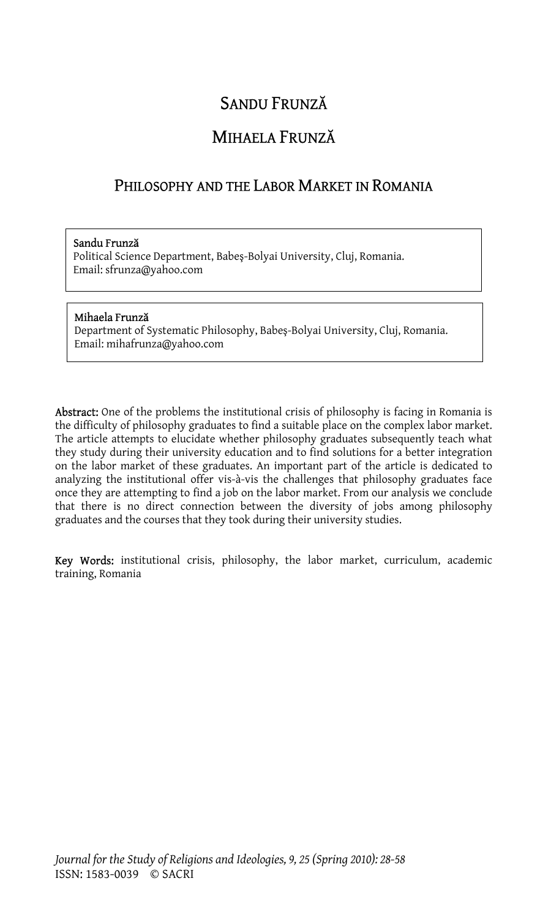# SANDU FRUNZĂ

# MIHAELA FRUNZĂ

# PHILOSOPHY AND THE LABOR MARKET IN ROMANIA

#### Sandu Frunză

Political Science Department, Babeş-Bolyai University, Cluj, Romania. Email: sfrunza@yahoo.com

#### Mihaela Frunză

Department of Systematic Philosophy, Babeş-Bolyai University, Cluj, Romania. Email: mihafrunza@yahoo.com

Abstract: One of the problems the institutional crisis of philosophy is facing in Romania is the difficulty of philosophy graduates to find a suitable place on the complex labor market. The article attempts to elucidate whether philosophy graduates subsequently teach what they study during their university education and to find solutions for a better integration on the labor market of these graduates. An important part of the article is dedicated to analyzing the institutional offer vis-à-vis the challenges that philosophy graduates face once they are attempting to find a job on the labor market. From our analysis we conclude that there is no direct connection between the diversity of jobs among philosophy graduates and the courses that they took during their university studies.

Key Words: institutional crisis, philosophy, the labor market, curriculum, academic training, Romania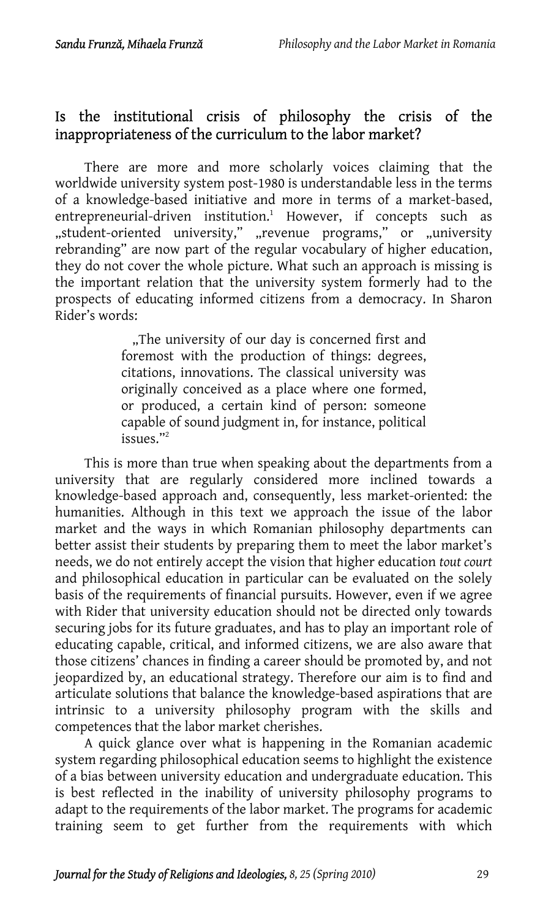# Is the institutional crisis of philosophy thecrisis of the inappropriateness of the curriculum to the labor market?

There are more and more scholarly voices claiming that the worldwide university system post-1980 is understandable less in the terms of a knowledge-based initiative and more in terms of a market-based, entrepreneurial-driven institution.<sup>1</sup> However, if concepts such as "student-oriented university," "revenue programs," or "university rebranding" are now part of the regular vocabulary of higher education, they do not cover the whole picture. What such an approach is missing is the important relation that the university system formerly had to the prospects of educating informed citizens from a democracy. In Sharon Rider's words:

> "The university of our d[ay](#page-30-1) is concerned first and foremost with the production of things: degrees, citations, innovations. The classical university was originally conceived as a place where one formed, or produced, a certain kind of person: someone capable of sound judgment in, for instance, political issues."2

This is more than true when speaking about the departments from a university that are regularly considered more inclined towards a knowledge-based approach and, consequently, less market-oriented: the humanities. Although in this text we approach the issue of the labor market and the ways in which Romanian philosophy departments can better assist their students by preparing them to meet the labor market's needs, we do not entirely accept the vision that higher education *tout court* and philosophical education in particular can be evaluated on the solely basis of the requirements of financial pursuits. However, even if we agree with Rider that university education should not be directed only towards securing jobs for its future graduates, and has to play an important role of educating capable, critical, and informed citizens, we are also aware that those citizens' chances in finding a career should be promoted by, and not jeopardized by, an educational strategy. Therefore our aim is to find and articulate solutions that balance the knowledge-based aspirations that are intrinsic to a university philosophy program with the skills and competences that the labor market cherishes.

A quick glance over what is happening in the Romanian academic system regarding philosophical education seems to highlight the existence of a bias between university education and undergraduate education. This is best reflected in the inability of university philosophy programs to adapt to the requirements of the labor market. The programs for academic training seem to get further from the requirements with which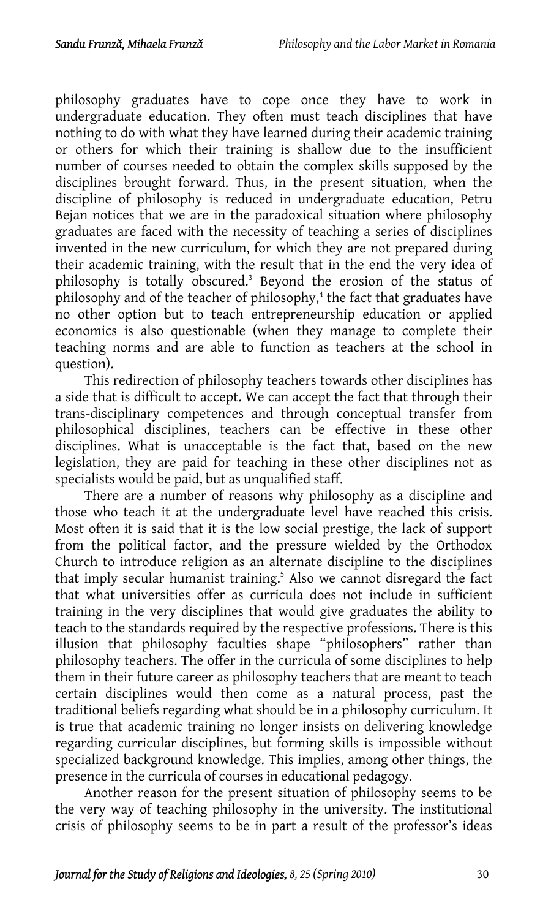philosophy graduates have to cope once they have to work in undergraduate education. They often must teach disciplines that have nothing to do with what they have learned during their academic training or others for which their training is shallow due to the insufficient number of courses needed to obtain the complex s[ki](#page-30-2)lls supposed by the disciplines brought forward. Thus, in the present situation, [wh](#page-30-3)en the discipline of philosophy is reduced in undergraduate education, Petru Bejan notices that we are in the paradoxical situation where philosophy graduates are faced with the necessity of teaching a series of disciplines invented in the new curriculum, for which they are not prepared during their academic training, with the result that in the end the very idea of philosophy is totally obscured.<sup>3</sup> Beyond the erosion of the status of philosophy and of the teacher of philosophy,<sup>4</sup> the fact that graduates have no other option but to teach entrepreneurship education or applied economics is also questionable (when they manage to complete their teaching norms and are able to function as teachers at the school in question).

This redirection of philosophy teachers towards other disciplines has a side that is difficult to accept. We can accept the fact that through their trans-disciplinary competences and through conceptual transfer from philosophical disciplines, teachers can be effective in these other disciplines. What is unacceptable is the fact that, based on the new legislation, they are paid for teaching in these other di[sc](#page-30-4)iplines not as specialists would be paid, but as unqualified staff.

There are a number of reasons why philosophy as a discipline and those who teach it at the undergraduate level have reached this crisis. Most often it is said that it is the low social prestige, the lack of support from the political factor, and the pressure wielded by the Orthodox Church to introduce religion as an alternate discipline to the disciplines that imply secular humanist training.<sup>5</sup> Also we cannot disregard the fact that what universities offer as curricula does not include in sufficient training in the very disciplines that would give graduates the ability to teach to the standards required by the respective professions. There is this illusion that philosophy faculties shape "philosophers" rather than philosophy teachers. The offer in the curricula of some disciplines to help them in their future career as philosophy teachers that are meant to teach certain disciplines would then come as a natural process, past the traditional beliefs regarding what should be in a philosophy curriculum. It is true that academic training no longer insists on delivering knowledge regarding curricular disciplines, but forming skills is impossible without specialized background knowledge. This implies, among other things, the presence in the curricula of courses in educational pedagogy.

Another reason for the present situation of philosophy seems to be the very way of teaching philosophy in the university. The institutional crisis of philosophy seems to be in part a result of the professor's ideas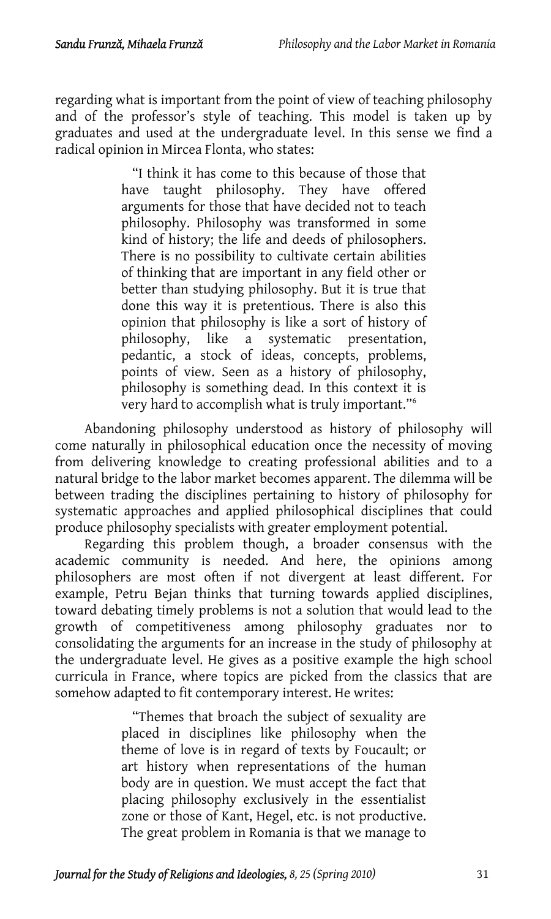regarding what is important from the point of view of teaching philosophy and of the professor's style of teaching. This model is taken up by graduates and used at the undergraduate level. In this sense we find a radical opinion in Mircea Flonta, who states:

> "I think it has come to this because of those that have taught philosophy. They have offered arguments for those that have decided not to teach philosophy. Philosophy was transformed in some kind of history; the life and deeds of philosophers. There is no possibility to cultivate certain abilities of thinking that are important in any field other or better than studying philosophy. But it is true that done this way it is pretentious. There is also this opinion that philosophy is like a sort of history of philosophy, like a systematic presentation, pedantic, a stock of ideas, concepts, problems, points of view. Seen as a history of philosophy, philosophy is something dead. In this context it is very hard to accomplish what is truly important."6

Abandoning philosophy understood as history of philosophy will come naturally in philosophical education once the necessity of moving from delivering knowledge to creating professional abilities and to a natural bridge to the labor market becomes apparent. The dilemma will be between trading the disciplines pertaining to history of philosophy for systematic approaches and applied philosophical disciplines that could produce philosophy specialists with greater employment potential.

Regarding this problem though, a broader consensus with the academic community is needed. And here, the opinions among philosophers are most often if not divergent at least different. For example, Petru Bejan thinks that turning towards applied disciplines, toward debating timely problems is not a solution that would lead to the growth of competitiveness among philosophy graduates nor to consolidating the arguments for an increase in the study of philosophy at the undergraduate level. He gives as a positive example the high school curricula in France, where topics are picked from the classics that are somehow adapted to fit contemporary interest. He writes:

> "Themes that broach the subject of sexuality are placed in disciplines like philosophy when the theme of love is in regard of texts by Foucault; or art history when representations of the human body are in question. We must accept the fact that placing philosophy exclusively in the essentialist zone or those of Kant, Hegel, etc. is not productive. The great problem in Romania is that we manage to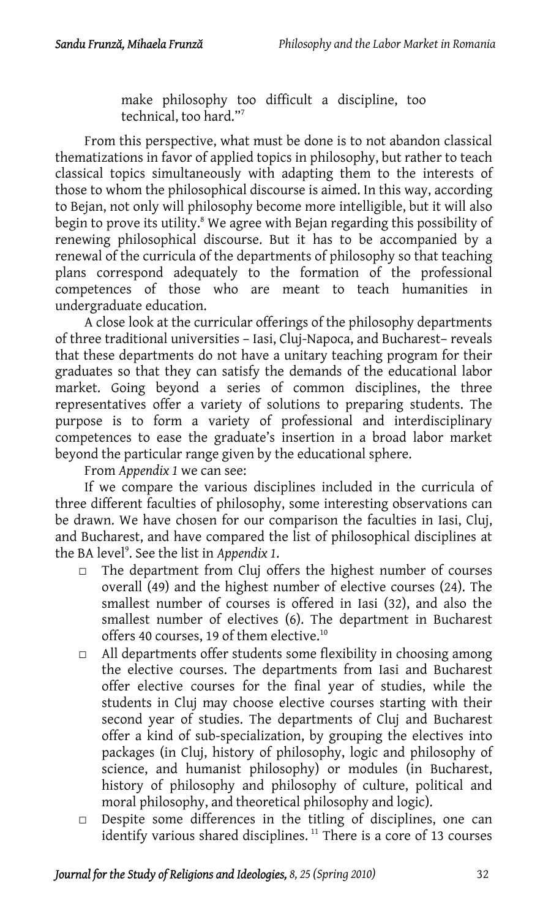make philosophy too difficult [a](#page-30-5) discipline, too technical, too hard."7

From this perspective, what must be done is to not abandon classical thematizations in favor of applied topics in philosophy, but rather to teach classical topics simultaneously with adapting them to the interests of those to whom the philosophical discourse is aimed. In this way, according to Bejan, not only will philosophy become more intelligible, but it will also begin to prove its utility.<sup>8</sup> We agree with Bejan regarding this possibility of renewing philosophical discourse. But it has to be accompanied by a renewal of the curricula of the departments of philosophy so that teaching plans correspond adequately to the formation of the professional competences of those who are meant to teach humanities in undergraduate education.

A close look at the curricular offerings of the philosophy departments of three traditional universities – Iasi, Cluj-Napoca, and Bucharest– reveals that these departments do not have a unitary teaching program for their graduates so that they can satisfy the demands of the educational labor market. Going beyond a series of common disciplines, the three representatives offer a variety of solutions to preparing students. The purpose is to form a variety of professional and interdisciplinary competences to ease the grad[ua](#page-30-6)te's insertion in a broad labor market beyond the particular range given by the educational sphere.

From *Appendix 1* we can see:

If we compare the various disciplines included in the curricula of three different faculties of philosophy, some interesting observations can be drawn. We have chosen for our comparison the faculties in [Ia](#page-30-7)si, Cluj, and Bucharest, and have compared the list of philosophical disciplines at the BA level<sup>9</sup>. See the list in Appendix 1.

- □ The department from Cluj offers the highest number of courses overall (49) and the highest number of elective courses (24). The smallest number of courses is offered in Iasi (32), and also the smallest number of electives (6). The department in Bucharest offers 40 courses, 19 of them elective.<sup>10</sup>
- $\Box$  All departments offer students some flexibility in choosing among the elective courses. The departments from Iasi and Bucharest offer elective courses for the final year of studies, while the students in Cluj may choose elective courses starting with their second year of studies. The departments of Cluj and [B](#page-30-8)ucharest offer a kind of sub-specialization, by grouping the electives into packages (in Cluj, history of philosophy, logic and philosophy of science, and humanist philosophy) or modules (in Bucharest, history of philosophy and philosophy of culture, political and moral philosophy, and theoretical philosophy and logic).
- $\Box$  Despite some differences in the titling of disciplines, one can identify various shared disciplines.<sup>11</sup> There is a core of 13 courses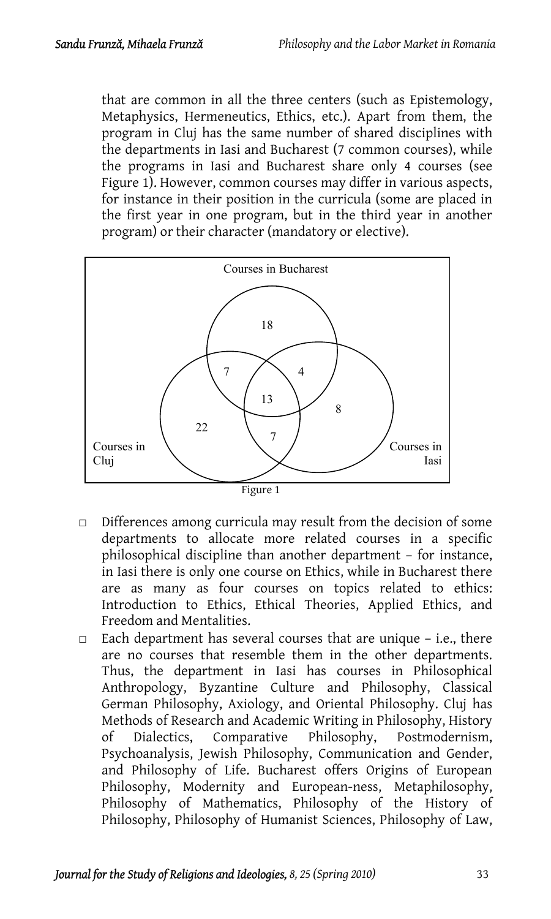that are common in all the three centers (such as Epistemology, Metaphysics, Hermeneutics, Ethics, etc.). Apart from them, the program in Cluj has the same number of shared disciplines with the departments in Iasi and Bucharest (7 common courses), while the programs in Iasi and Bucharest share only 4 courses (see Figure 1). However, common courses may differ in various aspects, for instance in their position in the curricula (some are placed in the first year in one program, but in the third year in another program) or their character (mandatory or elective).



- $\Box$  Differences among curricula may result from the decision of some departments to allocate more related courses in a specific philosophical discipline than another department – for instance, in Iasi there is only one course on Ethics, while in Bucharest there are as many as four courses on topics related to ethics: Introduction to Ethics, Ethical Theories, Applied Ethics, and Freedom and Mentalities.
- $\Box$  Each department has several courses that are unique i.e., there are no courses that resemble them in the other departments. Thus, the department in Iasi has courses in Philosophical Anthropology, Byzantine Culture and Philosophy, Classical German Philosophy, Axiology, and Oriental Philosophy. Cluj has Methods of Research and Academic Writing in Philosophy, History of Dialectics, Comparative Philosophy, Postmodernism, Psychoanalysis, Jewish Philosophy, Communication and Gender, and Philosophy of Life. Bucharest offers Origins of European Philosophy, Modernity and European-ness, Metaphilosophy, Philosophy of Mathematics, Philosophy of the History of Philosophy, Philosophy of Humanist Sciences, Philosophy of Law,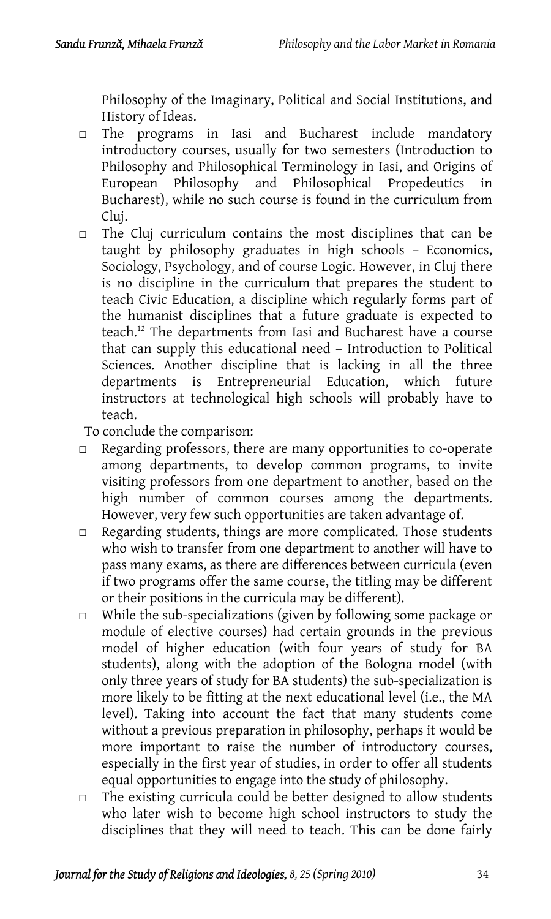Philosophy of the Imaginary, Political and Social Institutions, and History of Ideas.

- □ The programs in Iasi and Bucharest include mandatory introductory courses, usually for two semesters (Introduction to Philosophy and Philosophical Terminology in Iasi, and Origins of European Philosophy and Philosophical Propedeutics in Bucharest), while no such course is found in the curriculum from Cluj.
- □ The Cluj curriculum con[tai](#page-30-9)ns the most disciplines that can be taught by philosophy graduates in high schools – Economics, Sociology, Psychology, and of course Logic. However, in Cluj there is no discipline in the curriculum that prepares the student to teach Civic Education, a discipline which regularly forms part of the humanist disciplines that a future graduate is expected to teach.12 The departments from Iasi and Bucharest have a course that can supply this educational need – Introduction to Political Sciences. Another discipline that is lacking in all the three departments is Entrepreneurial Education, which future instructors at technological high schools will probably have to teach.
- To conclude the comparison:
- □ Regarding professors, there are many opportunities to co-operate among departments, to develop common programs, to invite visiting professors from one department to another, based on the high number of common courses among the departments. However, very few such opportunities are taken advantage of.
- □ Regarding students, things are more complicated. Those students who wish to transfer from one department to another will have to pass many exams, as there are differences between curricula (even if two programs offer the same course, the titling may be different or their positions in the curricula may be different).
- □ While the sub-specializations (given by following some package or module of elective courses) had certain grounds in the previous model of higher education (with four years of study for BA students), along with the adoption of the Bologna model (with only three years of study for BA students) the sub-specialization is more likely to be fitting at the next educational level (i.e., the MA level). Taking into account the fact that many students come without a previous preparation in philosophy, perhaps it would be more important to raise the number of introductory courses, especially in the first year of studies, in order to offer all students equal opportunities to engage into the study of philosophy.
- $\Box$  The existing curricula could be better designed to allow students who later wish to become high school instructors to study the disciplines that they will need to teach. This can be done fairly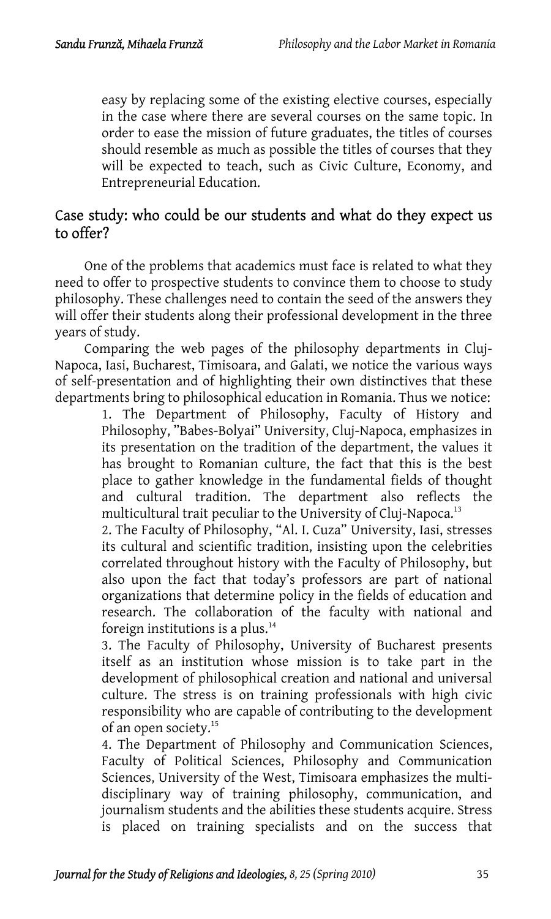easy by replacing some of the existing elective courses, especially in the case where there are several courses on the same topic. In order to ease the mission of future graduates, the titles of courses should resemble as much as possible the titles of courses that they will be expected to teach, such as Civic Culture, Economy, and Entrepreneurial Education.

# Case study: who could be our students and what do they expect us to offer?

One of the problems that academics must face is related to what they need to offer to prospective students to convince them to choose to study philosophy. These challenges need to contain the seed of the answers they will offer their students along their professional development in the three years of study.

Comparing the web pages of the philosophy departments in Cluj-Napoca, Iasi, Bucharest, Timisoara, and Galati, we notice the various ways of self-presentation and of highlighting their own distinctives that these departments bring to philosophical education in Romania. Thus we notice:

1. The Department of Philosophy, Faculty of History and Philosophy, "Babes-Bolyai" University, Cluj-Napoca, emphasizes in its presentation on the tradition of the department, the values it has brought to Romanian culture, the fact that this is the best place to gather knowledge in the fundamental fields of thought and cultural tradition. The department also reflects the multicultural trait peculiar to the University of [Clu](#page-30-10)j-Napoca.<sup>13</sup>

2. The Faculty of Philosophy, "Al. I. Cuza" University, Iasi, stresses its cultural and scientific tradition, insisting upon the celebrities correlated throughout history with the Faculty of Philosophy, but also upon the fact that today's professors are part of national organizations that determine policy in the fields of education and research. The collaboration of the [fa](#page-30-11)culty with national and foreign institutions is a plus. $14$ 

3. The Faculty of Philosophy, University of Bucharest presents itself as an institution whose mission is to take part in the development of philosophical creation and national and universal culture. The stress is on training professionals with high civic responsibility who are capable of contributing to the development of an open society.15

4. The Department of Philosophy and Communication Sciences, Faculty of Political Sciences, Philosophy and Communication Sciences, University of the West, Timisoara emphasizes the multidisciplinary way of training philosophy, communication, and journalism students and the abilities these students acquire. Stress is placed on training specialists and on the success that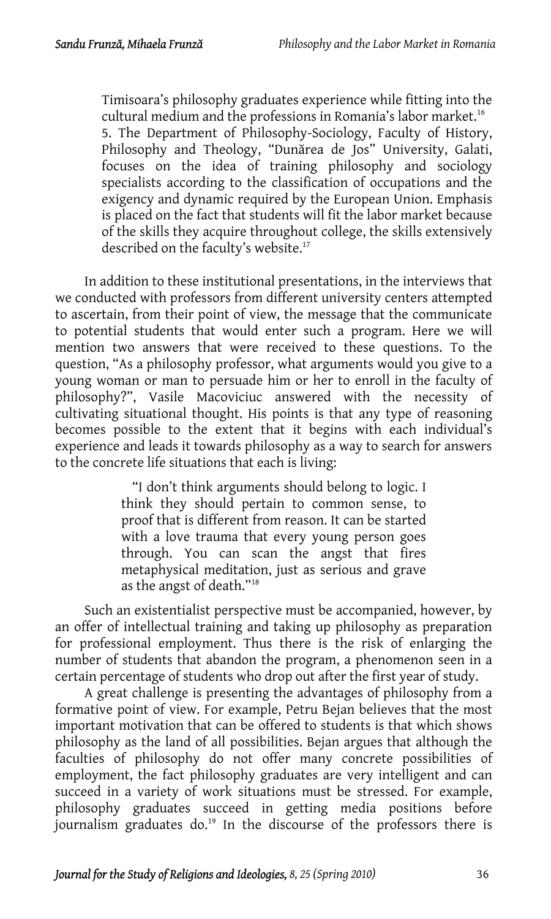Timisoara's philosophy graduates experience while fitting into the cultural medium and the professions in Romania's labor market.<sup>16</sup> 5. The Department of Philosophy-Sociology, Facult[y o](#page-30-12)f History, Philosophy and Theology, "Dunărea de Jos" University, Galati, focuses on the idea of training philosophy and sociology specialists according to the classification of occupations and the exigency and dynamic required by the European Union. Emphasis is placed on the fact that students will fit the labor market because of the skills they acquire throughout college, the skills extensively described on the faculty's website.<sup>17</sup>

In addition to these institutional presentations, in the interviews that we conducted with professors from different university centers attempted to ascertain, from their point of view, the message that the communicate to potential students that would enter such a program. Here we will mention two answers that were received to these questions. To the question, "As a philosophy professor, what arguments would you give to a young woman or man to persuade him or her to enroll in the faculty of philosophy?", Vasile Macoviciuc answered with the necessity of cultivating situational thought. His points is that any type of reasoning becomes possible to the extent that it begins with each individual's experience and leads it towards philosophy as a way to search for answers to the concrete life situations that each is living:

> "I don't think arguments should belong [to](#page-30-13) logic. I think they should pertain to common sense, to proof that is different from reason. It can be started with a love trauma that every young person goes through. You can scan the angst that fires metaphysical meditation, just as serious and grave as the angst of death."18

Such an existentialist perspective must be accompanied, however, by an offer of intellectual training and taking up philosophy as preparation for professional employment. Thus there is the risk of enlarging the number of students that abandon the program, a phenomenon seen in a certain percentage of students who drop out after the first year of study.

A great challenge is presenting the advantages of philosophy from a formative point of view. For example, Petru [Bej](#page-30-14)an believes that the most important motivation that can be offered to students is that which shows philosophy as the land of all possibilities. Bejan argues that although the faculties of philosophy do not offer many concrete possibilities of employment, the fact philosophy graduates are very intelligent and can succeed in a variety of work situations must be stressed. For example, philosophy graduates succeed in getting media positions before journalism graduates do.<sup>19</sup> In the discourse of the professors there is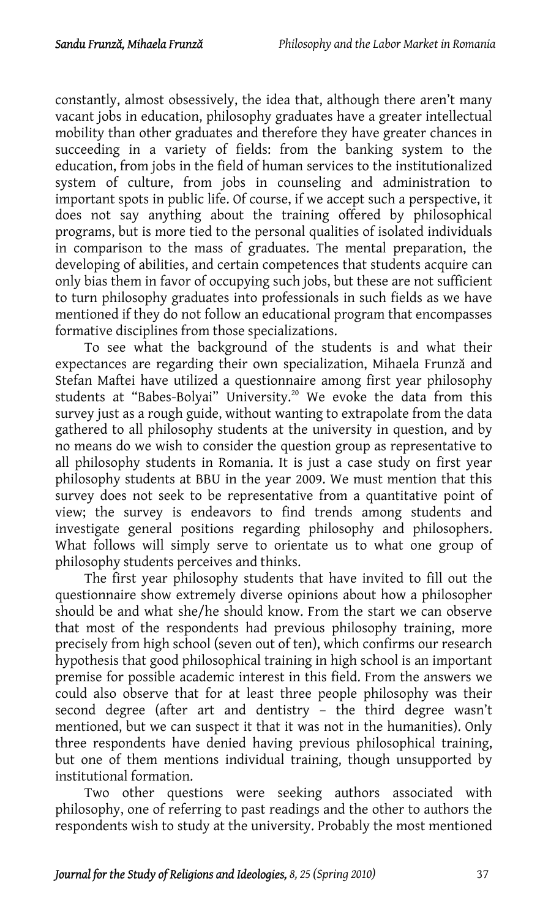constantly, almost obsessively, the idea that, although there aren't many vacant jobs in education, philosophy graduates have a greater intellectual mobility than other graduates and therefore they have greater chances in succeeding in a variety of fields: from the banking system to the education, from jobs in the field of human services to the institutionalized system of culture, from jobs in counseling and administration to important spots in public life. Of course, if we accept such a perspective, it does not say anything about the training offered by philosophical programs, but is more tied to the personal qualities of isolated individuals in comparison to the mass of graduates. The mental preparation, the developing of abilities, and certain competences that students acquire can only bias them in favor of occupying such jobs, but these ar[e n](#page-30-15)ot sufficient to turn philosophy graduates into professionals in such fields as we have mentioned if they do not follow an educational program that encompasses formative disciplines from those specializations.

To see what the background of the students is and what their expectances are regarding their own specialization, Mihaela Frunză and Stefan Maftei have utilized a questionnaire among first year philosophy students at "Babes-Bolyai" University.<sup>20</sup> We evoke the data from this survey just as a rough guide, without wanting to extrapolate from the data gathered to all philosophy students at the university in question, and by no means do we wish to consider the question group as representative to all philosophy students in Romania. It is just a case study on first year philosophy students at BBU in the year 2009. We must mention that this survey does not seek to be representative from a quantitative point of view; the survey is endeavors to find trends among students and investigate general positions regarding philosophy and philosophers. What follows will simply serve to orientate us to what one group of philosophy students perceives and thinks.

The first year philosophy students that have invited to fill out the questionnaire show extremely diverse opinions about how a philosopher should be and what she/he should know. From the start we can observe that most of the respondents had previous philosophy training, more precisely from high school (seven out of ten), which confirms our research hypothesis that good philosophical training in high school is an important premise for possible academic interest in this field. From the answers we could also observe that for at least three people philosophy was their second degree (after art and dentistry – the third degree wasn't mentioned, but we can suspect it that it was not in the humanities). Only three respondents have denied having previous philosophical training, but one of them mentions individual training, though unsupported by institutional formation.

Two other questions were seeking authors associated with philosophy, one of referring to past readings and the other to authors the respondents wish to study at the university. Probably the most mentioned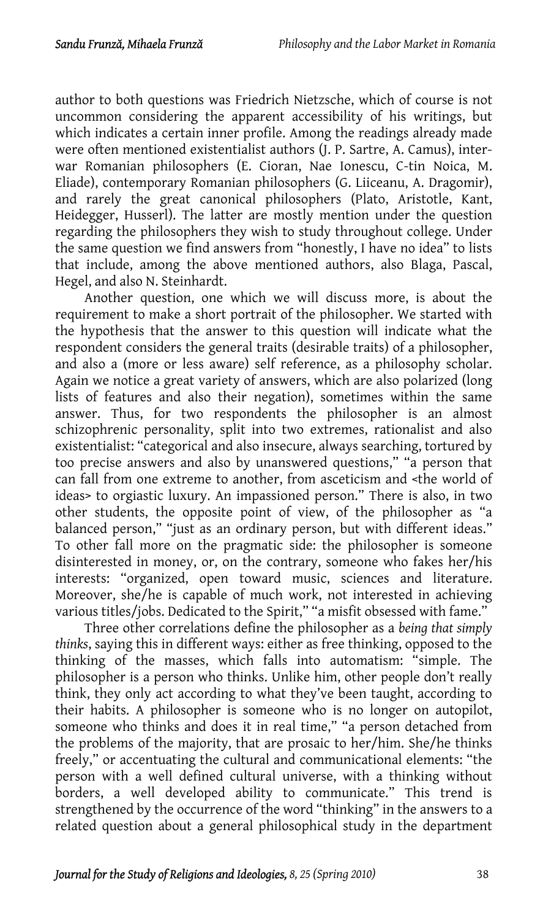author to both questions was Friedrich Nietzsche, which of course is not uncommon considering the apparent accessibility of his writings, but which indicates a certain inner profile. Among the readings already made were often mentioned existentialist authors (J. P. Sartre, A. Camus), interwar Romanian philosophers (E. Cioran, Nae Ionescu, C-tin Noica, M. Eliade), contemporary Romanian philosophers (G. Liiceanu, A. Dragomir), and rarely the great canonical philosophers (Plato, Aristotle, Kant, Heidegger, Husserl). The latter are mostly mention under the question regarding the philosophers they wish to study throughout college. Under the same question we find answers from "honestly, I have no idea" to lists that include, among the above mentioned authors, also Blaga, Pascal, Hegel, and also N. Steinhardt.

Another question, one which we will discuss more, is about the requirement to make a short portrait of the philosopher. We started with the hypothesis that the answer to this question will indicate what the respondent considers the general traits (desirable traits) of a philosopher, and also a (more or less aware) self reference, as a philosophy scholar. Again we notice a great variety of answers, which are also polarized (long lists of features and also their negation), sometimes within the same answer. Thus, for two respondents the philosopher is an almost schizophrenic personality, split into two extremes, rationalist and also existentialist: "categorical and also insecure, always searching, tortured by too precise answers and also by unanswered questions," "a person that can fall from one extreme to another, from asceticism and <the world of ideas> to orgiastic luxury. An impassioned person." There is also, in two other students, the opposite point of view, of the philosopher as "a balanced person," "just as an ordinary person, but with different ideas." To other fall more on the pragmatic side: the philosopher is someone disinterested in money, or, on the contrary, someone who fakes her/his interests: "organized, open toward music, sciences and literature. Moreover, she/he is capable of much work, not interested in achieving various titles/jobs. Dedicated to the Spirit," "a misfit obsessed with fame."

Three other correlations define the philosopher as a *being that simply thinks*, saying this in different ways: either as free thinking, opposed to the thinking of the masses, which falls into automatism: "simple. The philosopher is a person who thinks. Unlike him, other people don't really think, they only act according to what they've been taught, according to their habits. A philosopher is someone who is no longer on autopilot, someone who thinks and does it in real time," "a person detached from the problems of the majority, that are prosaic to her/him. She/he thinks freely," or accentuating the cultural and communicational elements: "the person with a well defined cultural universe, with a thinking without borders, a well developed ability to communicate." This trend is strengthened by the occurrence of the word "thinking" in the answers to a related question about a general philosophical study in the department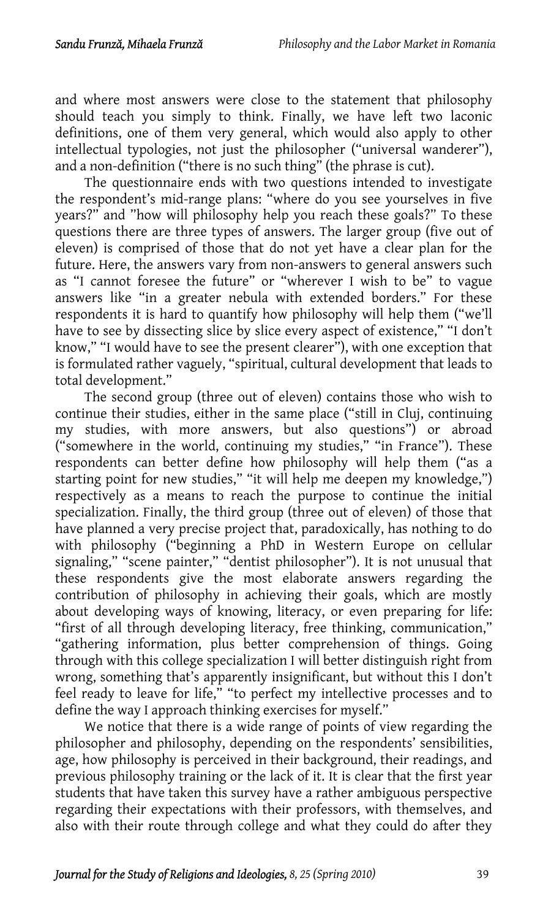and where most answers were close to the statement that philosophy should teach you simply to think. Finally, we have left two laconic definitions, one of them very general, which would also apply to other intellectual typologies, not just the philosopher ("universal wanderer"), and a non-definition ("there is no such thing" (the phrase is cut).

The questionnaire ends with two questions intended to investigate the respondent's mid-range plans: "where do you see yourselves in five years?" and "how will philosophy help you reach these goals?" To these questions there are three types of answers. The larger group (five out of eleven) is comprised of those that do not yet have a clear plan for the future. Here, the answers vary from non-answers to general answers such as "I cannot foresee the future" or "wherever I wish to be" to vague answers like "in a greater nebula with extended borders." For these respondents it is hard to quantify how philosophy will help them ("we'll have to see by dissecting slice by slice every aspect of existence," "I don't know," "I would have to see the present clearer"), with one exception that is formulated rather vaguely, "spiritual, cultural development that leads to total development."

The second group (three out of eleven) contains those who wish to continue their studies, either in the same place ("still in Cluj, continuing my studies, with more answers, but also questions") or abroad ("somewhere in the world, continuing my studies," "in France"). These respondents can better define how philosophy will help them ("as a starting point for new studies," "it will help me deepen my knowledge,") respectively as a means to reach the purpose to continue the initial specialization. Finally, the third group (three out of eleven) of those that have planned a very precise project that, paradoxically, has nothing to do with philosophy ("beginning a PhD in Western Europe on cellular signaling," "scene painter," "dentist philosopher"). It is not unusual that these respondents give the most elaborate answers regarding the contribution of philosophy in achieving their goals, which are mostly about developing ways of knowing, literacy, or even preparing for life: "first of all through developing literacy, free thinking, communication," "gathering information, plus better comprehension of things. Going through with this college specialization I will better distinguish right from wrong, something that's apparently insignificant, but without this I don't feel ready to leave for life," "to perfect my intellective processes and to define the way I approach thinking exercises for myself."

We notice that there is a wide range of points of view regarding the philosopher and philosophy, depending on the respondents' sensibilities, age, how philosophy is perceived in their background, their readings, and previous philosophy training or the lack of it. It is clear that the first year students that have taken this survey have a rather ambiguous perspective regarding their expectations with their professors, with themselves, and also with their route through college and what they could do after they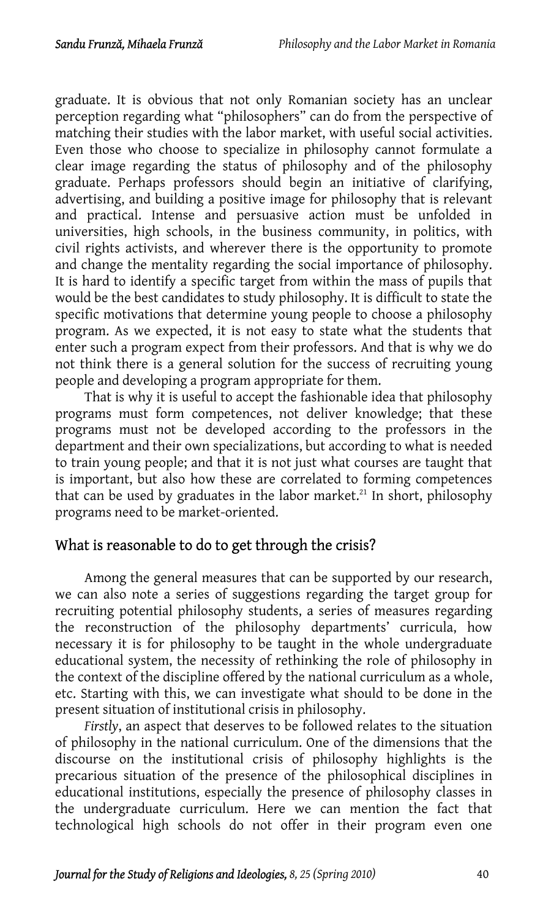graduate. It is obvious that not only Romanian society has an unclear perception regarding what "philosophers" can do from the perspective of matching their studies with the labor market, with useful social activities. Even those who choose to specialize in philosophy cannot formulate a clear image regarding the status of philosophy and of the philosophy graduate. Perhaps professors should begin an initiative of clarifying, advertising, and building a positive image for philosophy that is relevant and practical. Intense and persuasive action must be unfolded in universities, high schools, in the business community, in politics, with civil rights activists, and wherever there is the opportunity to promote and change the mentality regarding the social importance of philosophy. It is hard to identify a specific target from within the mass of pupils that would be the best candidates to study philosophy. It is difficult to state the specific motivations that determine young people to choose a philosophy program. As we expected, it is not easy to state what the students that enter such a program expect from their professors. And that is why we do not think there is a general solution for the success of recruiting young people and developing a program appropriate for them.

That is why it is useful to accept the fashionable idea that philosop[hy](#page-30-16) programs must form competences, not deliver knowledge; that these programs must not be developed according to the professors in the department and their own specializations, but according to what is needed to train young people; and that it is not just what courses are taught that is important, but also how these are correlated to forming competences that can be used by graduates in the labor market.<sup>21</sup> In short, philosophy programs need to be market-oriented.

### What is reasonable to do to get through the crisis?

Among the general measures that can be supported by our research, we can also note a series of suggestions regarding the target group for recruiting potential philosophy students, a series of measures regarding the reconstruction of the philosophy departments' curricula, how necessary it is for philosophy to be taught in the whole undergraduate educational system, the necessity of rethinking the role of philosophy in the context of the discipline offered by the national curriculum as a whole, etc. Starting with this, we can investigate what should to be done in the present situation of institutional crisis in philosophy.

*Firstly*, an aspect that deserves to be followed relates to the situation of philosophy in the national curriculum. One of the dimensions that the discourse on the institutional crisis of philosophy highlights is the precarious situation of the presence of the philosophical disciplines in educational institutions, especially the presence of philosophy classes in the undergraduate curriculum. Here we can mention the fact that technological high schools do not offer in their program even one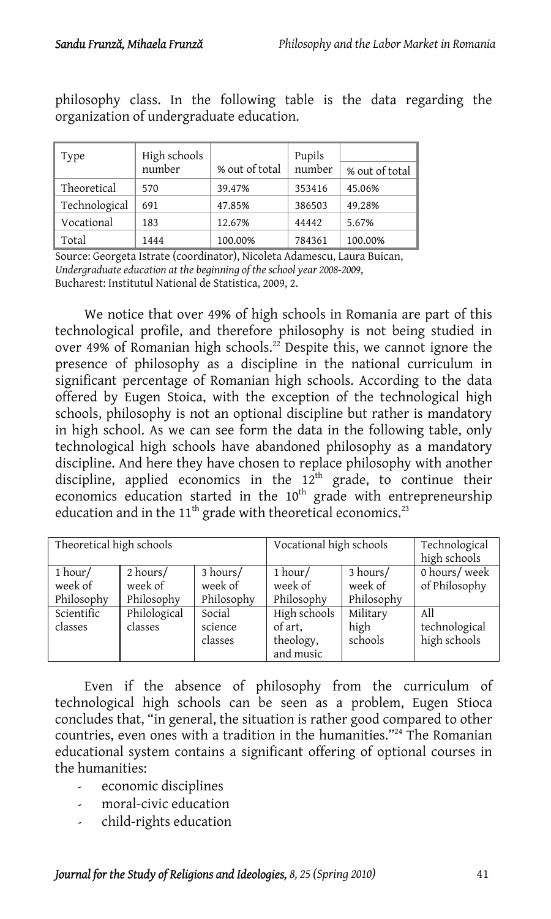| Type          | High schools<br>number | % out of total | Pupils<br>number | % out of total |
|---------------|------------------------|----------------|------------------|----------------|
| Theoretical   | 570                    | 39.47%         | 353416           | 45.06%         |
| Technological | 691                    | 47.85%         | 386503           | 49.28%         |
| Vocational    | 183                    | 12.67%         | 44442            | 5.67%          |
| Total         | 1444                   | 100.00%        | 784361           | 100.00%        |

philosophy class. In the following table is the data regarding the organization of undergraduate education.

Source: Georgeta Istrate (coordinator), Nicoleta Adamescu, Laura Buican, *Undergraduate education at the beginning of the school year 2008-2009*, Bucharest: Institutul National de Statistica, 2009, 2.

We notice that over 49% of high schools in Romania are part of this technological profile, and therefore philosophy is not being studied in over 49% of Romanian high schools.<sup>22</sup> Despite this, we cannot ignore the presence of philosophy as a discipline in the national curriculum in significant percentage of Romanian high schools. According to the data offered by Eugen Stoica, with the exception of the technological high schools, philosophy is not an optional discipline but rather is mandatory in high school. As we can see form the data in the following table, only technological high schools have abandoned philosophy as a mandatory discipline. And here they have chosen to replace philosophy with another discipline, applied economics in the  $12<sup>th</sup>$  grade, to continue their economics education started in the  $10<sup>th</sup>$  grade with entrepreneurship education and in the  $11<sup>th</sup>$  grade with theoretical economics.<sup>23</sup>

| Theoretical high schools         |                                   |                                   | Vocational high schools                           |                                   | Technological<br>high schools        |
|----------------------------------|-----------------------------------|-----------------------------------|---------------------------------------------------|-----------------------------------|--------------------------------------|
| 1 hour/<br>week of<br>Philosophy | 2 hours/<br>week of<br>Philosophy | 3 hours/<br>week of<br>Philosophy | $1$ hour/<br>week of<br>Philosophy                | 3 hours/<br>week of<br>Philosophy | 0 hours/week<br>of Philosophy        |
| Scientific<br>classes            | Philological<br>classes           | Social<br>science<br>classes      | High schools<br>of art,<br>theology,<br>and music | Military<br>high<br>schools       | All<br>technological<br>high schools |

Even if the absence of philosophy from the curriculum of technological high schools can be seen as a problem, Eugen Stioca concludes that, "in general, the situation is rather good compared to other countries, even ones with a tradition in the humanities."<sup>24</sup> The Romanian educational system contains a significant offering of optional courses in the humanities:

- economic disciplines
- moral-civic education
- child-rights education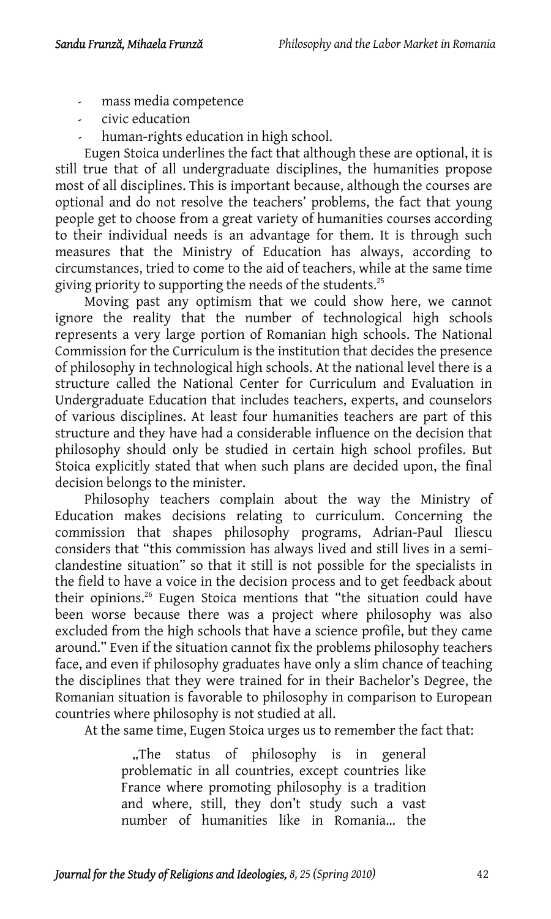- mass media competence
- civic education
- human-rights education in high school.

Eugen Stoica underlines the fact that although these are optional, it is still true that of all undergraduate disciplines, the humanities propose most of all disciplines. This is important because, although the courses are optional and do not resolve the teachers' problems, the fact that young people get to choose from a great variety of humanities courses according to their individual needs is an advantage for them. It is through such measures that the Ministry of Education has always, according to circumstances, tried to come to the aid of teachers, while at the same time giving priority to supporting the needs of the students.<sup>25</sup>

Moving past any optimism that we could show here, we cannot ignore the reality that the number of technological high schools represents a very large portion of Romanian high schools. The National Commission for the Curriculum is the institution that decides the presence of philosophy in technological high schools. At the national level there is a structure called the National Center for Curriculum and Evaluation in Undergraduate Education that includes teachers, experts, and counselors of various disciplines. At least four humanities teachers are part of this structure and they have had a considerable influence on the decision that philosophy should only be studied in certain high school profiles. But Stoica explicitly stated that when such plans are decided upon, the final decision belongs to the minister.

Philosophy teachers compla[in](#page-30-18) about the way the Ministry of Education makes decisions relating to curriculum. Concerning the commission that shapes philosophy programs, Adrian-Paul Iliescu considers that "this commission has always lived and still lives in a semiclandestine situation" so that it still is not possible for the specialists in the field to have a voice in the decision process and to get feedback about their opinions.<sup>26</sup> Eugen Stoica mentions that "the situation could have been worse because there was a project where philosophy was also excluded from the high schools that have a science profile, but they came around." Even if the situation cannot fix the problems philosophy teachers face, and even if philosophy graduates have only a slim chance of teaching the disciplines that they were trained for in their Bachelor's Degree, the Romanian situation is favorable to philosophy in comparison to European countries where philosophy is not studied at all.

At the same time, Eugen Stoica urges us to remember the fact that:

"The status of philosophy is in general, problematic in all countries, except countries like France where promoting philosophy is a tradition and where, still, they don't study such a vast number of humanities like in Romania… the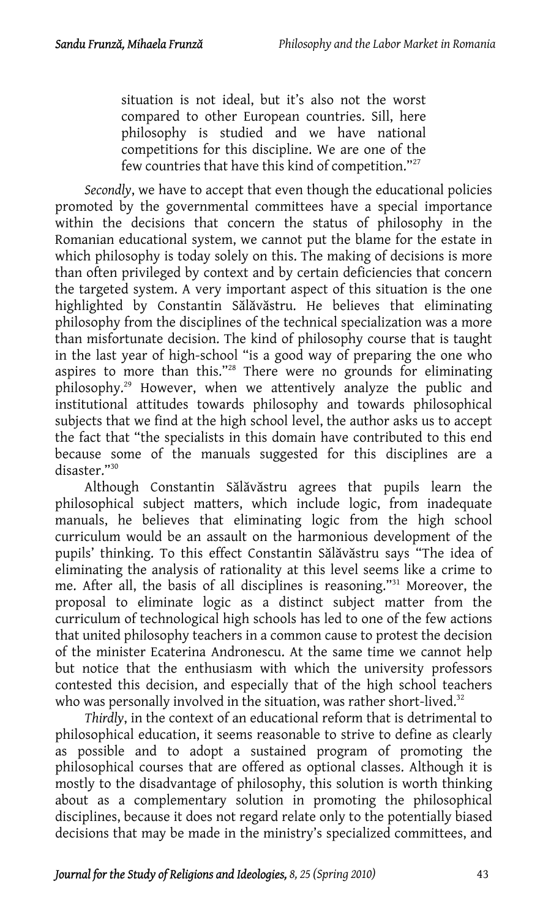situation is not ideal, but it's also not the worst compared to other European countries. Sill, here philosophy is studied and we have national competitions for this discipline. We are one of the few countries that have this kind of competition."<sup>27</sup>

*Secondly*, we have to accept that even though the educational policies promoted by the governmental committees have a special importance within the decisions that concern the status of philosophy in the Romanian educational system, we cannot put the blame for the estate in which philosophy is today solely on this. The ma[kin](#page-30-19)g of decisions is more than often privileged by conte[xt](#page-30-20) and by certain deficiencies that concern the targeted system. A very important aspect of this situation is the one highlighted by Constantin Sălăvăstru. He believes that eliminating philosophy from the disciplines of the technical specialization was a more than misfortunate decision. The kind of philosophy course that is taught in the last year of high-scho[ol](#page-30-21) "is a good way of preparing the one who aspires to more than this."28 There were no grounds for eliminating philosophy.29 However, when we attentively analyze the public and institutional attitudes towards philosophy and towards philosophical subjects that we find at the high school level, the author asks us to accept the fact that "the specialists in this domain have contributed to this end because some of the manuals suggested for this disciplines are a disaster."30

Although Constantin Sălăvăstru agrees that pupils learn the philosophical subject matters, which include logic, from inadequate manuals, he believes that eliminating logic from the high school curriculum would be an assault on the harmonious development of the pupils' thinking. To this effect Constantin Sălăvăstru says "The idea of eliminating the analysis of rationality at this level seems like a crime to me. After all, the basis of all disciplines is reasoning."31 Moreover, the proposal to eliminate logic as a distinct subject matter from the curriculum of technological high schools has led to one of the few actions that united philosophy teachers in a common cause to protest the decision of the minister Ecaterina Andronescu. At the same time we cannot help but notice that the enthusiasm with which the university professors contested this decision, and especially that of the high school teachers who was personally involved in the situation, was rather short-lived.<sup>32</sup>

*Thirdly*, in the context of an educational reform that is detrimental to philosophical education, it seems reasonable to strive to define as clearly as possible and to adopt a sustained program of promoting the philosophical courses that are offered as optional classes. Although it is mostly to the disadvantage of philosophy, this solution is worth thinking about as a complementary solution in promoting the philosophical disciplines, because it does not regard relate only to the potentially biased decisions that may be made in the ministry's specialized committees, and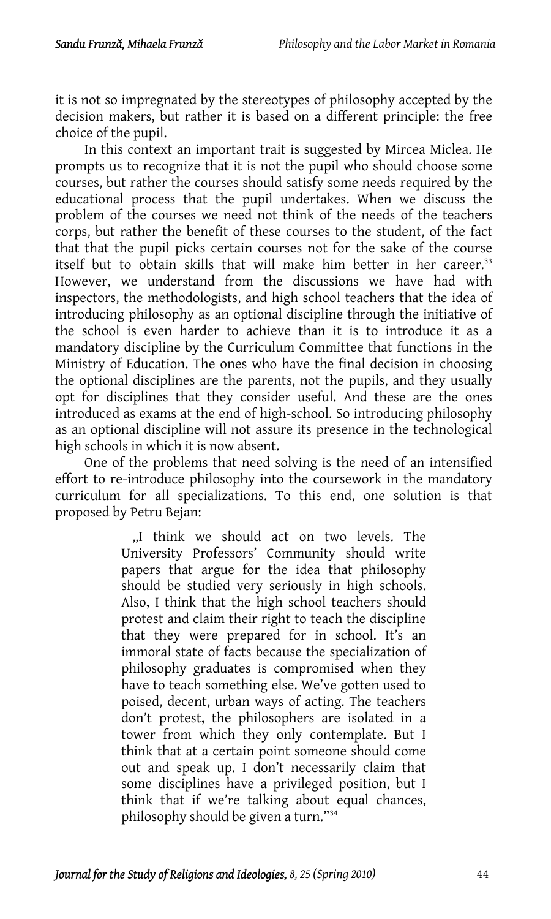it is not so impregnated by the stereotypes of philosophy accepted by the decision makers, but rather it is based on a different principle: the free choice of the pupil.

In this context an important trait is suggested by Mircea Miclea. He prompts us to recognize that it is not the pupil who should choose some courses, but rather the courses should satisfy some needs required by the educational process that the pupil undertakes. When we discuss the problem of the courses we need not think of the needs of the teachers corps, but rather the benefit of these courses to the student, of the fact that that the pupil picks certain courses not for the sake of the course itself but to obtain skills that will make him better in her career.<sup>33</sup> However, we understand from the discussions we have had with inspectors, the methodologists, and high school teachers that the idea of introducing philosophy as an optional discipline through the initiative of the school is even harder to achieve than it is to introduce it as a mandatory discipline by the Curriculum Committee that functions in the Ministry of Education. The ones who have the final decision in choosing the optional disciplines are the parents, not the pupils, and they usually opt for disciplines that they consider useful. And these are the ones introduced as exams at the end of high-school. So introducing philosophy as an optional discipline will not assure its presence in the technological high schools in which it is now absent.

One of the problems that need solving is the need of an intensified effort to re-introduce philosophy into the coursework in the mandatory curriculum for all specializations. To this end, one solution is that proposed by Petru Bejan:

> "I think we should act on two levels. The University Professors' Community should write papers that argue for the idea that philosophy should be studied very seriously in high schools. Also, I think that the high school teachers should protest and claim their right to teach the discipline that they were prepared for in school. It's an immoral state of facts because the specialization of philosophy graduates is compromised when they have to teach something else. We've gotten used to poised, decent, urban ways of acting. The teachers don't protest, the philosophers are isolated in a tower from which they only contemplate. But I think that at a certain point someone should come out and speak up. I don't necessarily claim that some disciplines have a privileged position, but I think that if we're talking about equal chances, philosophy should be given a turn."34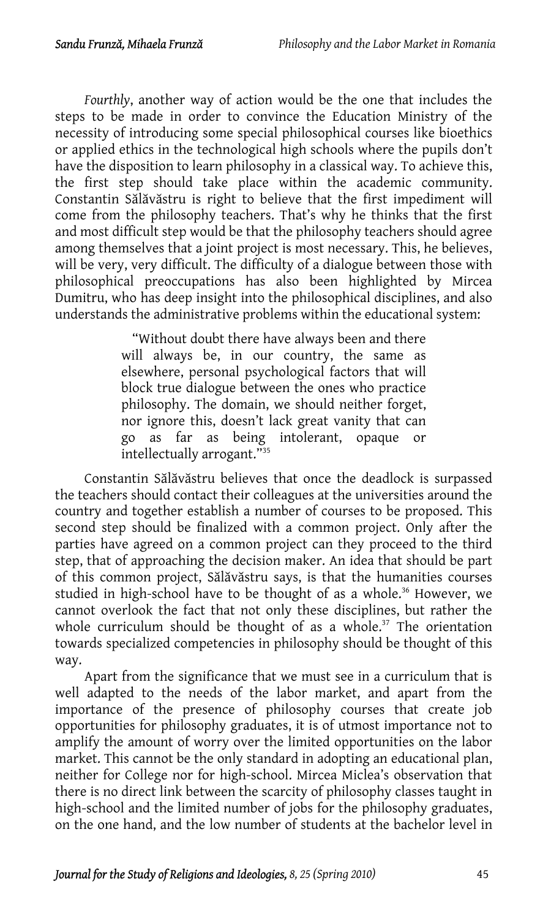*Fourthly*, another way of action would be the one that includes the steps to be made in order to convince the Education Ministry of the necessity of introducing some special philosophical courses like bioethics or applied ethics in the technological high schools where the pupils don't have the disposition to learn philosophy in a classical way. To achieve this, the first step should take place within the academic community. Constantin Sălăvăstru is right to believe that the first impediment will come from the philosophy teachers. That's why he thinks that the first and most difficult step would be that the philosophy teachers should agree among themselves that a joint project is most necessary. This, he believes, will be very, very difficult. The difficulty of a dialogue between those with philosophical preoccupations has also been highlighted by Mircea Dumitru, who has deep insight into the philosophical disciplines, and also understands the administrative problems within the educational system:

> "Without doubt there have always been and there will always be, in our country, the s[am](#page-30-22)e as elsewhere, personal psychological factors that will block true dialogue between the ones who practice philosophy. The domain, we should neither forget, nor ignore this, doesn't lack great vanity that can go as far as being intolerant, opaque or intellectually arrogant."35

Constantin Sălăvăstru believes that once the deadlock is surpassed the teachers should contact their colleagues at the universities around the country and together establish a number of courses to be proposed. This second step should be finalized with a common project. Only after the parties have agreed on a common project can they proceed to the third step, that of approaching the decision maker. An idea that should be part of this common project, Sălăvăstru says, is that the humanities courses studied in high-school have to be thought of as a whole.<sup>36</sup> However, we cannot overlook the fact that not only these disciplines, but rather the whole curriculum should be thought of as a whole.<sup>37</sup> The orientation towards specialized competencies in philosophy should be thought of this way.

Apart from the significance that we must see in a curriculum that is well adapted to the needs of the labor market, and apart from the importance of the presence of philosophy courses that create job opportunities for philosophy graduates, it is of utmost importance not to amplify the amount of worry over the limited opportunities on the labor market. This cannot be the only standard in adopting an educational plan, neither for College nor for high-school. Mircea Miclea's observation that there is no direct link between the scarcity of philosophy classes taught in high-school and the limited number of jobs for the philosophy graduates, on the one hand, and the low number of students at the bachelor level in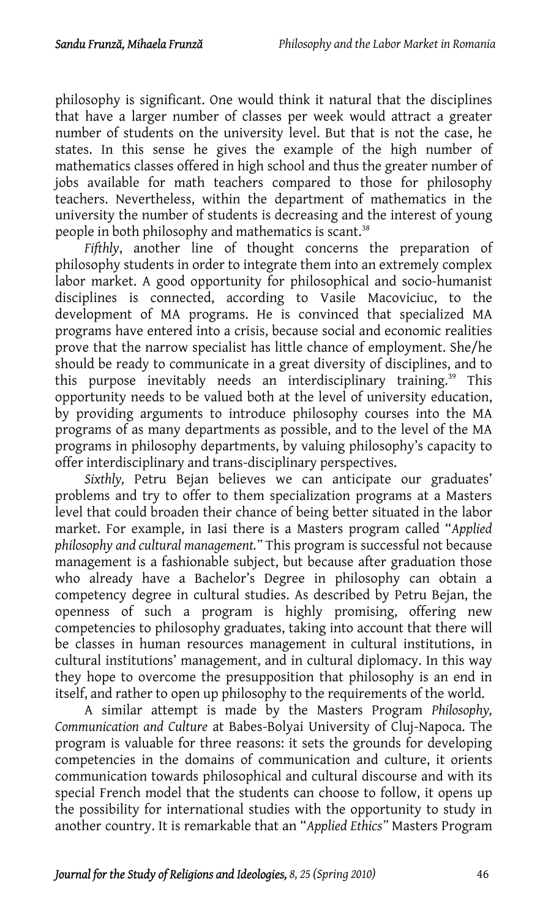philosophy is significant. One would think it natural that the disciplines that have a larger number of classes per week would attract a great[er](#page-30-23) number of students on the university level. But that is not the case, he states. In this sense he gives the example of the high number of mathematics classes offered in high school and thus the greater number of jobs available for math teachers compared to those for philosophy teachers. Nevertheless, within the department of mathematics in the university the number of students is decreasing and the interest of young people in both philosophy and mathematics is scant.<sup>38</sup>

Fifthly, another line of thought concerns the preparation of philosophy students in order to integrate them into an extremely complex labor market. A good opportunity for philosophical and socio-humanist disciplines is connected, according to Vasile Macoviciuc, to the development of MA programs. He is convinced that specialized MA programs have entered into a crisis, because social and economic realities prove that the narrow specialist has little chance of employment. She/he should be ready to communicate in a great diversity of disciplines, and to this purpose inevitably needs an interdisciplinary training.<sup>39</sup> This opportunity needs to be valued both at the level of university education, by providing arguments to introduce philosophy courses into the MA programs of as many departments as possible, and to the level of the MA programs in philosophy departments, by valuing philosophy's capacity to offer interdisciplinary and trans-disciplinary perspectives.

*Sixthly,* Petru Bejan believes we can anticipate our graduates' problems and try to offer to them specialization programs at a Masters level that could broaden their chance of being better situated in the labor market. For example, in Iasi there is a Masters program called "*Applied philosophy and cultural management."* This program is successful not because management is a fashionable subject, but because after graduation those who already have a Bachelor's Degree in philosophy can obtain a competency degree in cultural studies. As described by Petru Bejan, the openness of such a program is highly promising, offering new competencies to philosophy graduates, taking into account that there will be classes in human resources management in cultural institutions, in cultural institutions' management, and in cultural diplomacy. In this way they hope to overcome the presupposition that philosophy is an end in itself, and rather to open up philosophy to the requirements of the world.

A similar attempt is made by the Masters Program *Philosophy, Communication and Culture* at Babes-Bolyai University of Cluj-Napoca. The program is valuable for three reasons: it sets the grounds for developing competencies in the domains of communication and culture, it orients communication towards philosophical and cultural discourse and with its special French model that the students can choose to follow, it opens up the possibility for international studies with the opportunity to study in another country. It is remarkable that an "*Applied Ethics"* Masters Program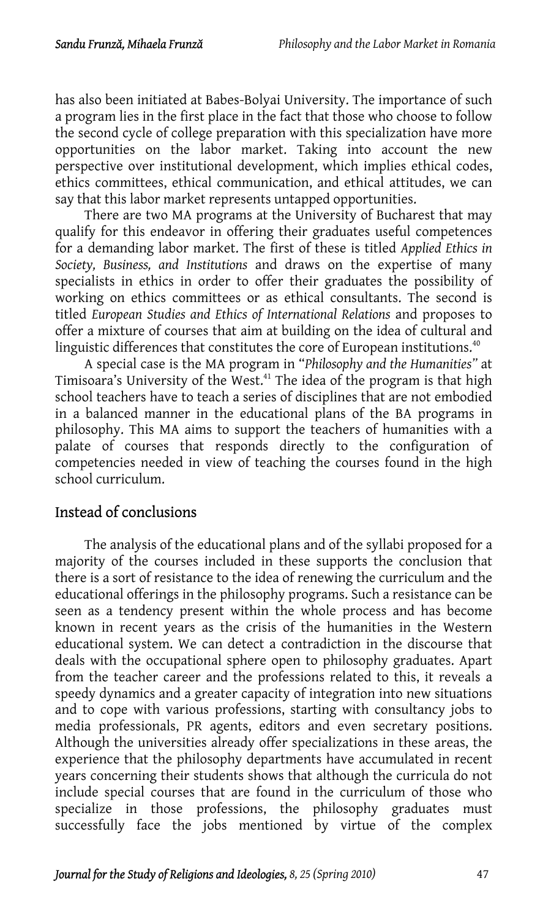has also been initiated at Babes-Bolyai University. The importance of such a program lies in the first place in the fact that those who choose to follow the second cycle of college preparation with this specialization have more opportunities on the labor market. Taking into account the new perspective over institutional development, which implies ethical codes, ethics committees, ethical communication, and ethical attitudes, we can say that this labor market represents untapped opportunities.

There are two MA programs at the University of Bucharest that may qualify for this endeavor in offering their graduates useful competences for a demanding labor market. The first of these is titled *Applied Ethics in Society, Business, and Institutions* and draws on the [exp](#page-30-24)ertise of many specialists in ethics in order to offer their graduates the possibility of working on ethics committees or as ethical consultants. The second is titled *European Studies and Ethics of International Relations* and proposes to offer a mixture of courses that aim at building on the idea of cultural and linguistic differences that constitutes the core of European institutions. $40$ 

A special case is the MA program in "*Philosophy and the Humanities"* at Timisoara's University of the West.<sup>41</sup> The idea of the program is that high school teachers have to teach a series of disciplines that are not embodied in a balanced manner in the educational plans of the BA programs in philosophy. This MA aims to support the teachers of humanities with a palate of courses that responds directly to the configuration of competencies needed in view of teaching the courses found in the high school curriculum.

# Instead of conclusions

The analysis of the educational plans and of the syllabi proposed for a majority of the courses included in these supports the conclusion that there is a sort of resistance to the idea of renewing the curriculum and the educational offerings in the philosophy programs. Such a resistance can be seen as a tendency present within the whole process and has become known in recent years as the crisis of the humanities in the Western educational system. We can detect a contradiction in the discourse that deals with the occupational sphere open to philosophy graduates. Apart from the teacher career and the professions related to this, it reveals a speedy dynamics and a greater capacity of integration into new situations and to cope with various professions, starting with consultancy jobs to media professionals, PR agents, editors and even secretary positions. Although the universities already offer specializations in these areas, the experience that the philosophy departments have accumulated in recent years concerning their students shows that although the curricula do not include special courses that are found in the curriculum of those who specialize in those professions, the philosophy graduates must successfully face the jobs mentioned by virtue of the complex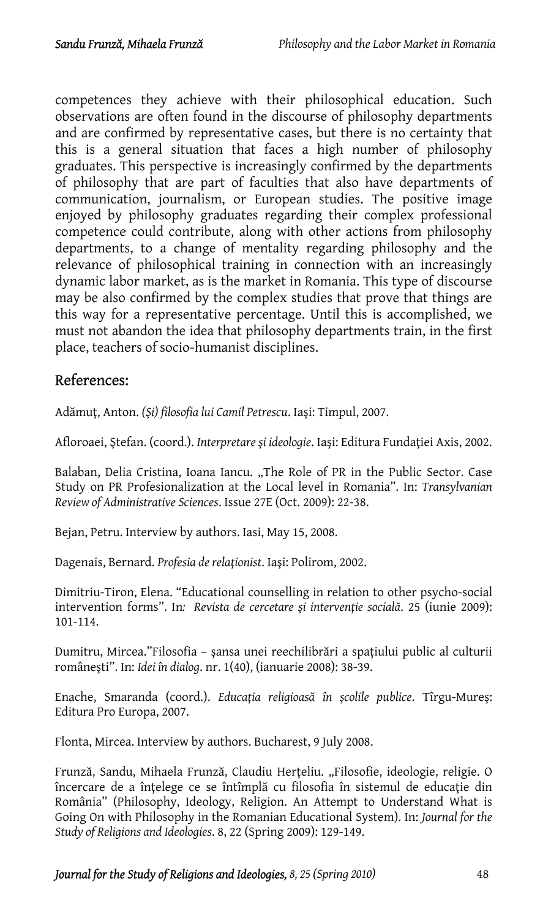competences they achieve with their philosophical education. Such observations are often found in the discourse of philosophy departments and are confirmed by representative cases, but there is no certainty that this is a general situation that faces a high number of philosophy graduates. This perspective is increasingly confirmed by the departments of philosophy that are part of faculties that also have departments of communication, journalism, or European studies. The positive image enjoyed by philosophy graduates regarding their complex professional competence could contribute, along with other actions from philosophy departments, to a change of mentality regarding philosophy and the relevance of philosophical training in connection with an increasingly dynamic labor market, as is the market in Romania. This type of discourse may be also confirmed by the complex studies that prove that things are this way for a representative percentage. Until this is accomplished, we must not abandon the idea that philosophy departments train, in the first place, teachers of socio-humanist disciplines.

# References:

Adămuţ, Anton. *(Şi) filosofia lui Camil Petrescu*. Iaşi: Timpul, 2007.

Afloroaei, Ştefan. (coord.). *Interpretare şi ideologie*. Iaşi: Editura Fundaţiei Axis, 2002.

Balaban, Delia Cristina, Ioana Iancu. "The Role of PR in the Public Sector. Case Study on PR Profesionalization at the Local level in Romania". In: *Transylvanian Review of Administrative Sciences*. Issue 27E (Oct. 2009): 22-38.

Bejan, Petru. Interview by authors. Iasi, May 15, 2008.

Dagenais, Bernard. *Profesia de relaţionist*. Iaşi: Polirom, 2002.

Dimitriu-Tiron, Elena. "Educational counselling in relation to other psycho-social intervention forms". In*: Revista de cercetare şi intervenţie socială*. 25 (iunie 2009): 101-114.

Dumitru, Mircea."Filosofia – şansa unei reechilibrări a spaţiului public al culturii româneşti". In: *Idei în dialog*. nr. 1(40), (ianuarie 2008): 38-39.

Enache, Smaranda (coord.). *Educaţia religioasă în şcolile publice*. Tîrgu-Mureş: Editura Pro Europa, 2007.

Flonta, Mircea. Interview by authors. Bucharest, 9 July 2008.

Frunză, Sandu, Mihaela Frunză, Claudiu Herțeliu. "Filosofie, ideologie, religie. O încercare de a înțelege ce se întîmplă cu filosofia în sistemul de educație din România" (Philosophy, Ideology, Religion. An Attempt to Understand What is Going On with Philosophy in the Romanian Educational System). In: *Journal for the Study of Religions and Ideologies*. 8, 22 (Spring 2009): 129-149.

*Journal for the Study of Religions and Ideologies, 8, 25 (Spring 2010)* 48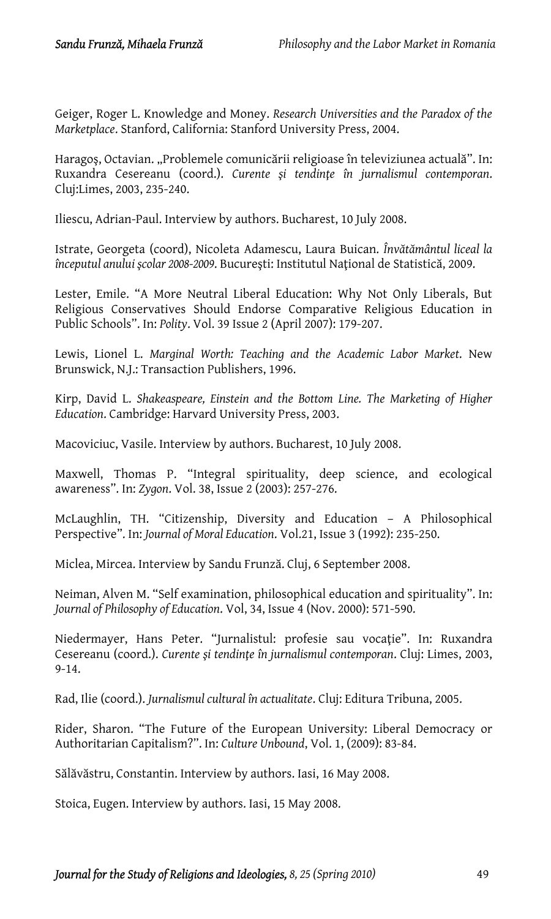Geiger, Roger L. Knowledge and Money. *Research Universities and the Paradox of the Marketplace*. Stanford, California: Stanford University Press, 2004.

Haragoș, Octavian. "Problemele comunicării religioase în televiziunea actuală". In: Ruxandra Cesereanu (coord.). *Curente şi tendinţe în jurnalismul contemporan*. Cluj:Limes, 2003, 235-240.

Iliescu, Adrian-Paul. Interview by authors. Bucharest, 10 July 2008.

Istrate, Georgeta (coord), Nicoleta Adamescu, Laura Buican. *Învătământul liceal la începutul anului şcolar 2008-2009*. Bucureşti: Institutul Naţional de Statistică, 2009.

Lester, Emile. "A More Neutral Liberal Education: Why Not Only Liberals, But Religious Conservatives Should Endorse Comparative Religious Education in Public Schools". In: *Polity*. Vol. 39 Issue 2 (April 2007): 179-207.

Lewis, Lionel L. *Marginal Worth: Teaching and the Academic Labor Market*. New Brunswick, N.J.: Transaction Publishers, 1996.

Kirp, David L. *Shakeaspeare, Einstein and the Bottom Line. The Marketing of Higher Education*. Cambridge: Harvard University Press, 2003.

Macoviciuc, Vasile. Interview by authors. Bucharest, 10 July 2008.

Maxwell, Thomas P. ["Integral spirituality, deep science, and ecological](http://apps.isiknowledge.com/full_record.do?product=UA&search_mode=GeneralSearch&qid=1&SID=R2O7E57lEG5GOpG5EBi&page=3&doc=30&colname=WOS)  [awareness](http://apps.isiknowledge.com/full_record.do?product=UA&search_mode=GeneralSearch&qid=1&SID=R2O7E57lEG5GOpG5EBi&page=3&doc=30&colname=WOS)". In: *Zygon*. Vol. 38, Issue 2 (2003): 257-276.

McLaughlin, TH. "Citizenship, Diversity and Education – A Philosophical Perspective". In: *Journal of Moral Education*. Vol.21, Issue 3 (1992): 235-250.

Miclea, Mircea. Interview by Sandu Frunză. Cluj, 6 September 2008.

Neiman, Alven M. ["Self examination, philosophical education and spirituality](http://apps.isiknowledge.com/full_record.do?product=UA&search_mode=GeneralSearch&qid=8&SID=R2O7E57lEG5GOpG5EBi&page=5&doc=42&colname=WOS)". In: *Journal of Philosophy of Education*. Vol, 34, Issue 4 (Nov. 2000): 571-590.

Niedermayer, Hans Peter. "Jurnalistul: profesie sau vocaţie". In: Ruxandra Cesereanu (coord.). *Curente şi tendinţe în jurnalismul contemporan*. Cluj: Limes, 2003, 9-14.

Rad, Ilie (coord.). *Jurnalismul cultural în actualitate*. Cluj: Editura Tribuna, 2005.

Rider, Sharon. "The Future of the European University: Liberal Democracy or Authoritarian Capitalism?". In: *Culture Unbound*, Vol. 1, (2009): 83-84.

Sălăvăstru, Constantin. Interview by authors. Iasi, 16 May 2008.

Stoica, Eugen. Interview by authors. Iasi, 15 May 2008.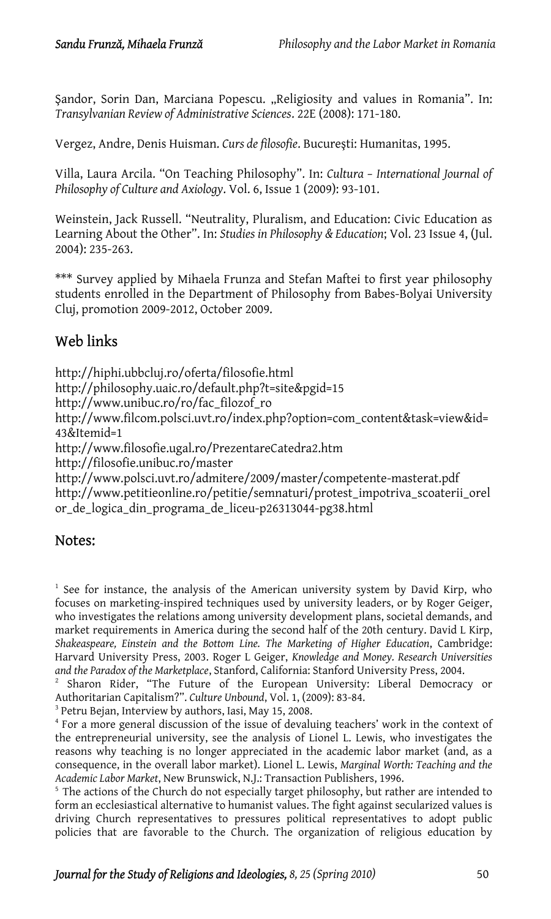Sandor, Sorin Dan, Marciana Popescu. ["Religiosity and values in Romania"](http://apps.isiknowledge.com/full_record.do?product=UA&search_mode=GeneralSearch&qid=17&SID=R2O7E57lEG5GOpG5EBi&page=7&doc=67&colname=WOS). In: *Transylvanian Review of Administrative Sciences*. 22E (2008): 171-180.

Vergez, Andre, Denis Huisman. *Curs de filosofie*. Bucureşti: Humanitas, 1995.

Villa, Laura Arcila. "[On Teaching Philosophy"](http://apps.isiknowledge.com/full_record.do?product=UA&search_mode=GeneralSearch&qid=12&SID=R2O7E57lEG5GOpG5EBi&page=1&doc=10&colname=WOS). In: *Cultura – International Journal of Philosophy of Culture and Axiology*. Vol. 6, Issue 1 (2009): 93-101.

Weinstein, Jack Russell. "Neutrality, Pluralism, and Education: Civic Education as Learning About the Other". In: *Studies in Philosophy & Education*; Vol. 23 Issue 4, (Jul. 2004): 235-263.

\*\*\* Survey applied by Mihaela Frunza and Stefan Maftei to first year philosophy students enrolled in the Department of Philosophy from Babes-Bolyai University Cluj, promotion 2009-2012, October 2009.

# Web links

http://hiphi.ubbcluj.ro/oferta/filosofie.html http://philosophy.uaic.ro/default.php?t=site&pgid=15 http://www.unibuc.ro/ro/fac\_filozof\_ro http://www.filcom.polsci.uvt.ro/index.php?option=com\_content&task=view&id= 43&Itemid=1 http://www.filosofie.ugal.ro/PrezentareCatedra2.htm http://filosofie.unibuc.ro/master <http://www.polsci.uvt.ro/admitere/2009/master/competente-masterat.pdf> http://www.petitieonline.ro/petitie/semnaturi/protest\_impotriva\_scoaterii\_orel or\_de\_logica\_din\_programa\_de\_liceu-p26313044-pg38.html

# Notes:

<sup>1</sup> See for instance, the analysis of the American university system by David Kirp, who focuses on marketing-inspired techniques used by university leaders, or by Roger Geiger, who investigates the relations among university development plans, societal demands, and market requirements in America during the second half of the 20th century. David L Kirp, *Shakeaspeare, Einstein and the Bottom Line. The Marketing of Higher Education*, Cambridge: Harvard University Press, 2003. Roger L Geiger, *Knowledge and Money. Research Universities and the Paradox of the Marketplace*, Stanford, California: Stanford University Press, 2004. 2

<sup>2</sup> Sharon Rider, "The Future of the European University: Liberal Democracy or Authoritarian Capitalism?". *Culture Unbound*, Vol. 1, (2009): 83-84.

 $^3$  Petru Bejan, Interview by authors, Iasi, May 15, 2008.<br> $^4$  For a more general discussion of the issue of devalu

<sup>4</sup> For a more general discussion of the issue of devaluing teachers' work in the context of the entrepreneurial university, see the analysis of Lionel L. Lewis, who investigates the reasons why teaching is no longer appreciated in the academic labor market (and, as a consequence, in the overall labor market). Lionel L. Lewis, *Marginal Worth: Teaching and the Academic Labor Market*, New Brunswick, N.J.: Transaction Publishers, 1996.<br><sup>5</sup> The actions of the Church do not especially target philosophy, but rather are intended to

form an ecclesiastical alternative to humanist values. The fight against secularized values is driving Church representatives to pressures political representatives to adopt public policies that are favorable to the Church. The organization of religious education by

*Journal for the Study of Religions and Ideologies, 8, 25 (Spring 2010)* 50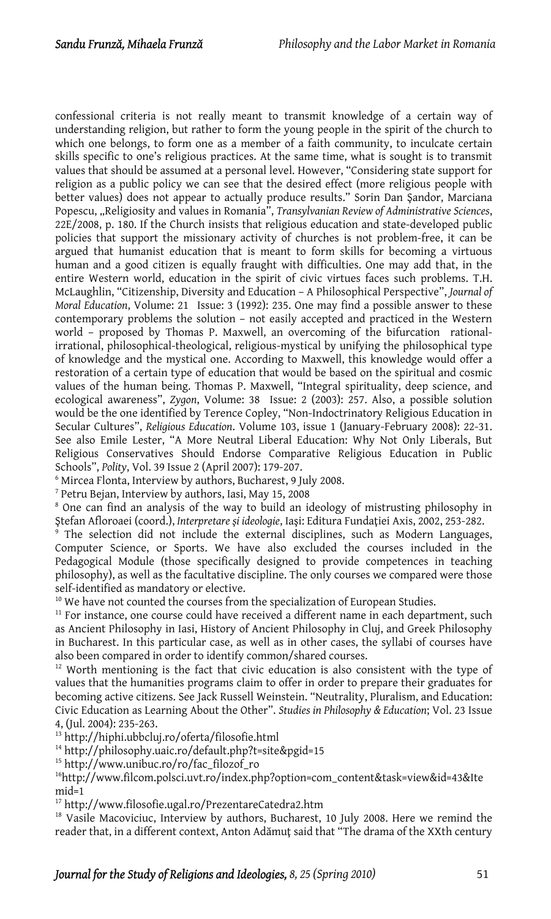confessional criteria is not really meant to transmit knowledge of a certain way of understanding religion, but rather to form the young people in the spirit of the church to which one belongs, to form one as a member of a faith community, to inculcate certain skills specific to one's religious practices. At the same time, what is sought is to transmit values that should be assumed at a personal level. However, "Considering state support for religion as a public policy we can see that the desired effect (more religious people with better values) does not appear to actually produce results." Sorin Dan Şandor, Marciana Popescu, ["Religiosity and values in Romania](http://apps.isiknowledge.com/full_record.do?product=UA&search_mode=GeneralSearch&qid=17&SID=R2O7E57lEG5GOpG5EBi&page=7&doc=67&colname=WOS)", *Transylvanian Review of Administrative Sciences*, 22E/2008, p. 180. If the Church insists that religious education and state-developed public policies that support the missionary activity of churches is not problem-free, it can be argued that humanist education that is meant to form skills for becoming a virtuous human and a good citizen is equally fraught with difficulties. One may add that, in the entire Western world, education in the spirit of civic virtues faces such problems. T.H. McLaughlin, "Citizenship, Diversity and Education – A Philosophical Perspective", *Journal of Moral Education*, Volume: 21 Issue: 3 (1992): 235. One may find a possible answer to these contemporary problems the solution – not easily accepted and practiced in the Western world – proposed by Thomas P. Maxwell, an overcoming of the bifurcation rationalirrational, philosophical-theological, religious-mystical by unifying the philosophical type of knowledge and the mystical one. According to Maxwell, this knowledge would offer a restoration of a certain type of education that would be based on the spiritual and cosmic values of the human being. Thomas P. Maxwell, "[Integral spirituality, deep science, and](http://apps.isiknowledge.com/full_record.do?product=UA&search_mode=GeneralSearch&qid=1&SID=R2O7E57lEG5GOpG5EBi&page=3&doc=30&colname=WOS) [ecological awareness"](http://apps.isiknowledge.com/full_record.do?product=UA&search_mode=GeneralSearch&qid=1&SID=R2O7E57lEG5GOpG5EBi&page=3&doc=30&colname=WOS), *Zygon*, Volume: 38 Issue: 2 (2003): 257. Also, a possible solution would be the one identified by Terence Copley, "Non-Indoctrinatory Religious Education in Secular Cultures", *Religious Education*. Volume 103, issue 1 (January-February 2008): 22-31. See also Emile Lester, "A More Neutral Liberal Education: Why Not Only Liberals, But Religious Conservatives Should Endorse Comparative Religious Education in Public Schools", *Polity*, Vol. 39 Issue 2 (April 2007): 179-207.

<sup>6</sup> Mircea Flonta, Interview by authors, Bucharest, 9 July 2008.<br><sup>7</sup> Petru Beian, Interview by authors, Iasi, May 15, 2008.

 $7$  Petru Bejan, Interview by authors, Iasi, May 15, 2008

<sup>8</sup> One can find an analysis of the way to build an ideology of mistrusting philosophy in <sup>Ş</sup>tefan Afloroaei (coord.), *Interpretare şi ideologie*, Iaşi: Editura Fundaţiei Axis, 2002, 253-282. 9

 $\frac{1}{2}$  The selection did not include the external disciplines, such as Modern Languages, Computer Science, or Sports. We have also excluded the courses included in the Pedagogical Module (those specifically designed to provide competences in teaching philosophy), as well as the facultative discipline. The only courses we compared were those self-identified as mandatory or elective.<br><sup>10</sup> We have not counted the courses from the specialization of European Studies.<br><sup>11</sup> For instance, one course could have received a different name in each department, such

as Ancient Philosophy in Iasi, History of Ancient Philosophy in Cluj, and Greek Philosophy in Bucharest. In this particular case, as well as in other cases, the syllabi of courses have also been compared in order to identify common/shared courses.<br> $12$  Worth mentioning is the fact that civic education is also consistent with the type of

values that the humanities programs claim to offer in order to prepare their graduates for becoming active citizens. See Jack Russell Weinstein. "Neutrality, Pluralism, and Education: Civic Education as Learning About the Other". *Studies in Philosophy & Education*; Vol. 23 Issue

4, (Jul. 2004): 235-263.<br><sup>13</sup> http://hiphi.ubbcluj.ro/oferta/filosofie.html<br><sup>14</sup> http://philosophy.uaic.ro/default.php?t=site&pgid=15<br><sup>15</sup> http://www.unibuc.ro/ro/fac\_filozof\_ro<br><sup>16</sup>http://www.filcom.polsci.uvt.ro/index.ph

<sup>17</sup> http://www.filosofie.ugal.ro/PrezentareCatedra2.htm 18 Vasile Macoviciuc, Interview by authors, Bucharest, 10 July 2008. Here we remind the reader that, in a different context, Anton Adămuţ said that "The drama of the XXth century

*Journal for the Study of Religions and Ideologies, 8, 25 (Spring 2010)* 51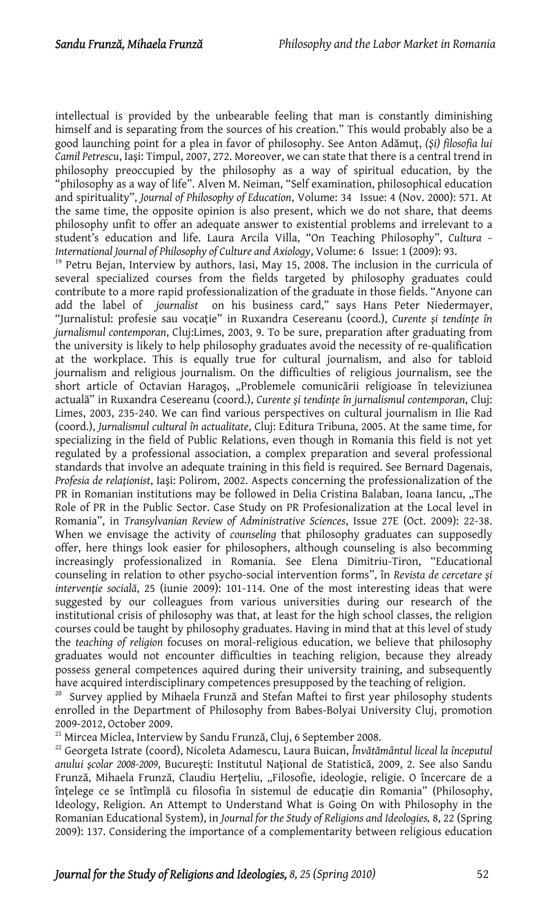intellectual is provided by the unbearable feeling that man is constantly diminishing himself and is separating from the sources of his creation." This would probably also be a good launching point for a plea in favor of philosophy. See Anton Adămuţ, *(Şi) filosofia lui Camil Petrescu*, Iaşi: Timpul, 2007, 272. Moreover, we can state that there is a central trend in philosophy preoccupied by the philosophy as a way of spiritual education, by the "philosophy as a way of life". Alven M. Neiman, "[Self examination, philosophical education](http://apps.isiknowledge.com/full_record.do?product=UA&search_mode=GeneralSearch&qid=8&SID=R2O7E57lEG5GOpG5EBi&page=5&doc=42&colname=WOS) [and spirituality"](http://apps.isiknowledge.com/full_record.do?product=UA&search_mode=GeneralSearch&qid=8&SID=R2O7E57lEG5GOpG5EBi&page=5&doc=42&colname=WOS), *Journal of Philosophy of Education*, Volume: 34 Issue: 4 (Nov. 2000): 571. At the same time, the opposite opinion is also present, which we do not share, that deems philosophy unfit to offer an adequate answer to existential problems and irrelevant to a student's education and life. Laura Arcila Villa, ["On Teaching Philosophy"](http://apps.isiknowledge.com/full_record.do?product=UA&search_mode=GeneralSearch&qid=12&SID=R2O7E57lEG5GOpG5EBi&page=1&doc=10&colname=WOS), *Cultura – International Journal of Philosophy of Culture and Axiology*, Volume: 6 Issue: 1 (2009): 93.<br><sup>19</sup> Petru Bejan, Interview by authors, Iasi, May 15, 2008. The inclusion in the curricula of several specialized courses from the fields targeted by philosophy graduates could contribute to a more rapid professionalization of the graduate in those fields. "Anyone can add the label of *journalist* on his business card," says Hans Peter Niedermayer, "Jurnalistul: profesie sau vocaţie" in Ruxandra Cesereanu (coord.), *Curente şi tendinţe în jurnalismul contemporan*, Cluj:Limes, 2003, 9. To be sure, preparation after graduating from the university is likely to help philosophy graduates avoid the necessity of re-qualification at the workplace. This is equally true for cultural journalism, and also for tabloid journalism and religious journalism. On the difficulties of religious journalism, see the short article of Octavian Haragoș, "Problemele comunicării religioase în televiziunea actuală" in Ruxandra Cesereanu (coord.), *Curente şi tendinţe în jurnalismul contemporan*, Cluj: Limes, 2003, 235-240. We can find various perspectives on cultural journalism in Ilie Rad (coord.), *Jurnalismul cultural în actualitate*, Cluj: Editura Tribuna, 2005. At the same time, for specializing in the field of Public Relations, even though in Romania this field is not yet regulated by a professional association, a complex preparation and several professional standards that involve an adequate training in this field is required. See Bernard Dagenais, *Profesia de relaţionist*, Iaşi: Polirom, 2002. Aspects concerning the professionalization of the PR in Romanian institutions may be followed in Delia Cristina Balaban, Ioana Iancu, "The Role of PR in the Public Sector. Case Study on PR Profesionalization at the Local level in Romania", in *Transylvanian Review of Administrative Sciences*, Issue 27E (Oct. 2009): 22-38. When we envisage the activity of *counseling* that philosophy graduates can supposedly offer, here things look easier for philosophers, although counseling is also becomming increasingly professionalized in Romania. See Elena Dimitriu-Tiron, "Educational counseling in relation to other psycho-social intervention forms", în *Revista de cercetare şi intervenţie socială*, 25 (iunie 2009): 101-114. One of the most interesting ideas that were suggested by our colleagues from various universities during our research of the institutional crisis of philosophy was that, at least for the high school classes, the religion courses could be taught by philosophy graduates. Having in mind that at this level of study the *teaching of religion* focuses on moral-religious education, we believe that philosophy graduates would not encounter difficulties in teaching religion, because they already possess general competences aquired during their university training, and subsequently

have acquired interdisciplinary competences presupposed by the teaching of religion.<br><sup>20</sup> Survey applied by Mihaela Frunză and Stefan Maftei to first year philosophy students enrolled in the Department of Philosophy from Babes-Bolyai University Cluj, promotion

2009-2012, October 2009.<br><sup>21</sup> Mircea Miclea, Interview by Sandu Frunză, Cluj, 6 September 2008.<br><sup>22</sup> Georgeta Istrate (coord), Nicoleta Adamescu, Laura Buican, *Învătământul liceal la începutul anului şcolar 2008-2009*, Bucureşti: Institutul Naţional de Statistică, 2009, 2. See also Sandu Frunză, Mihaela Frunză, Claudiu Herțeliu, "Filosofie, ideologie, religie. O încercare de a înțelege ce se întîmplă cu filosofia în sistemul de educație din Romania" (Philosophy, Ideology, Religion. An Attempt to Understand What is Going On with Philosophy in the Romanian Educational System), in *Journal for the Study of Religions and Ideologies,* 8, 22 (Spring 2009): 137. Considering the importance of a complementarity between religious education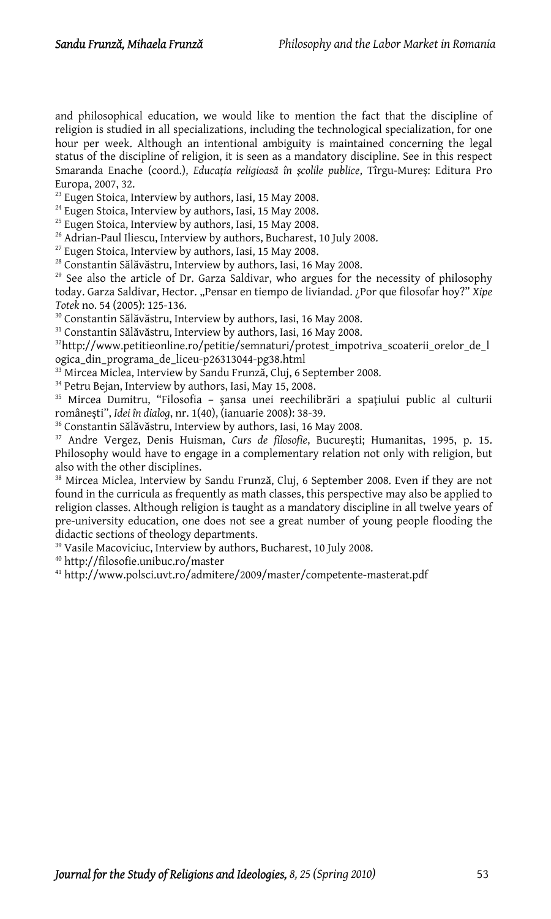and philosophical education, we would like to mention the fact that the discipline of religion is studied in all specializations, including the technological specialization, for one hour per week. Although an intentional ambiguity is maintained concerning the legal status of the discipline of religion, it is seen as a mandatory discipline. See in this respect Smaranda Enache (coord.), *Educaţia religioasă în şcolile publice*, Tîrgu-Mureş: Editura Pro

<sup>23</sup> Eugen Stoica, Interview by authors, Iasi, 15 May 2008.<br><sup>24</sup> Eugen Stoica, Interview by authors, Iasi, 15 May 2008.<br><sup>25</sup> Eugen Stoica, Interview by authors, Iasi, 15 May 2008.<br><sup>26</sup> Adrian-Paul Iliescu, Interview by au

 $29$  See also the article of Dr. Garza Saldivar, who argues for the necessity of philosophy today. Garza Saldivar, Hector. "Pensar en tiempo de liviandad. ¿Por que filosofar hoy?" *Xipe*<br>*Totek* no. 54 (2005): 125-136.

<sup>30</sup> Constantin Sălăvăstru, Interview by authors, Iasi, 16 May 2008.

31 Constantin Sălăvăstru, Interview by authors, Iasi, 16 May 2008.

32http://www.petitieonline.ro/petitie/semnaturi/protest\_impotriva\_scoaterii\_orelor\_de\_l

ogica\_din\_programa\_de\_liceu-p26313044-pg38.html<br><sup>33</sup> Mircea Miclea, Interview by Sandu Frunză, Cluj, 6 September 2008.<br><sup>34</sup> Petru Bejan, Interview by authors, Iasi, May 15, 2008.<br><sup>35</sup> Mircea Dumitru, "Filosofia – șansa une

<sup>36</sup> Constantin Sălăvăstru, Interview by authors, Iasi, 16 May 2008.

37 Andre Vergez, Denis Huisman, *Curs de filosofie*, Bucureşti; Humanitas, 1995, p. 15. Philosophy would have to engage in a complementary relation not only with religion, but also with the other disciplines.<br><sup>38</sup> Mircea Miclea, Interview by Sandu Frunză, Cluj, 6 September 2008. Even if they are not

found in the curricula as frequently as math classes, this perspective may also be applied to religion classes. Although religion is taught as a mandatory discipline in all twelve years of pre-university education, one does not see a great number of young people flooding the<br>didactic sections of theology departments.

<sup>39</sup> Vasile Macoviciuc, Interview by authors, Bucharest, 10 July 2008.<br><sup>40</sup> http://filosofie.unibuc.ro/master<br><sup>41</sup> <http://www.polsci.uvt.ro/admitere/2009/master/competente-masterat.pdf>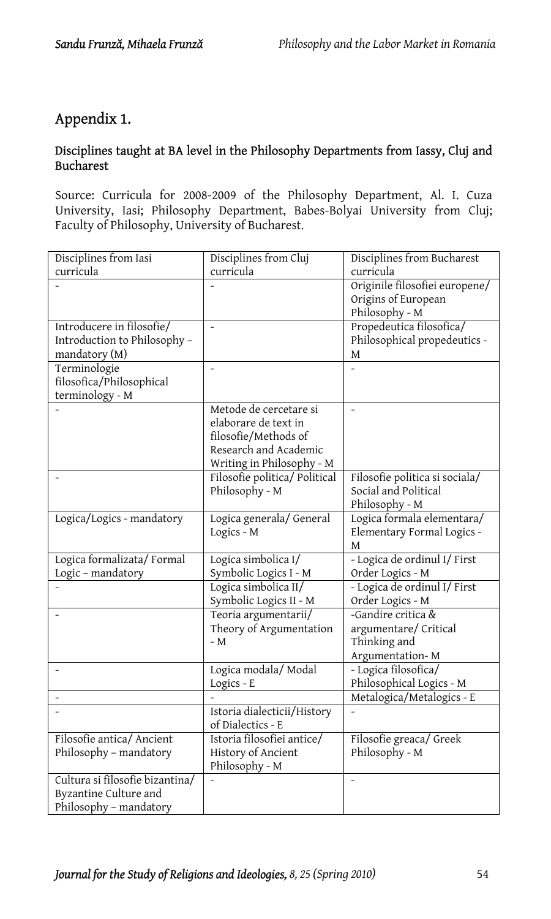# Appendix 1.

### Disciplines taught at BA level in the Philosophy Departments from Iassy, Cluj and Bucharest

Source: Curricula for 2008-2009 of the Philosophy Department, Al. I. Cuza University, Iasi; Philosophy Department, Babes-Bolyai University from Cluj; Faculty of Philosophy, University of Bucharest.

| Disciplines from Iasi                          | Disciplines from Cluj         | Disciplines from Bucharest        |
|------------------------------------------------|-------------------------------|-----------------------------------|
| curricula                                      | curricula                     | curricula                         |
|                                                |                               | Originile filosofiei europene/    |
|                                                |                               | Origins of European               |
|                                                |                               | Philosophy - M                    |
| Introducere in filosofie/                      | $\frac{1}{2}$                 | Propedeutica filosofica/          |
| Introduction to Philosophy -                   |                               | Philosophical propedeutics -      |
| mandatory (M)<br>Terminologie                  | $\overline{a}$                | M<br>$\overline{a}$               |
| filosofica/Philosophical                       |                               |                                   |
| terminology - M                                |                               |                                   |
|                                                | Metode de cercetare si        |                                   |
|                                                | elaborare de text in          |                                   |
|                                                | filosofie/Methods of          |                                   |
|                                                | Research and Academic         |                                   |
|                                                | Writing in Philosophy - M     |                                   |
| $\overline{a}$                                 | Filosofie politica/ Political | Filosofie politica si sociala/    |
|                                                | Philosophy - M                | Social and Political              |
|                                                |                               | Philosophy - M                    |
| Logica/Logics - mandatory                      | Logica generala/ General      | Logica formala elementara/        |
|                                                | Logics - M                    | Elementary Formal Logics -        |
|                                                | Logica simbolica I/           | М<br>- Logica de ordinul I/ First |
| Logica formalizata/Formal<br>Logic - mandatory | Symbolic Logics I - M         | Order Logics - M                  |
|                                                | Logica simbolica II/          | - Logica de ordinul I/ First      |
|                                                | Symbolic Logics II - M        | Order Logics - M                  |
| $\overline{a}$                                 | Teoria argumentarii/          | -Gandire critica &                |
|                                                | Theory of Argumentation       | argumentare/Critical              |
|                                                | - M                           | Thinking and                      |
|                                                |                               | Argumentation-M                   |
| ۰                                              | Logica modala/Modal           | - Logica filosofica/              |
|                                                | Logics - E                    | Philosophical Logics - M          |
| $\overline{a}$                                 |                               | Metalogica/Metalogics - E         |
|                                                | Istoria dialecticii/History   |                                   |
|                                                | of Dialectics - E             |                                   |
| Filosofie antica/ Ancient                      | Istoria filosofiei antice/    | Filosofie greaca/ Greek           |
| Philosophy - mandatory                         | History of Ancient            | Philosophy - M                    |
|                                                | Philosophy - M                |                                   |
| Cultura si filosofie bizantina/                |                               | $\overline{\phantom{0}}$          |
| Byzantine Culture and                          |                               |                                   |
| Philosophy - mandatory                         |                               |                                   |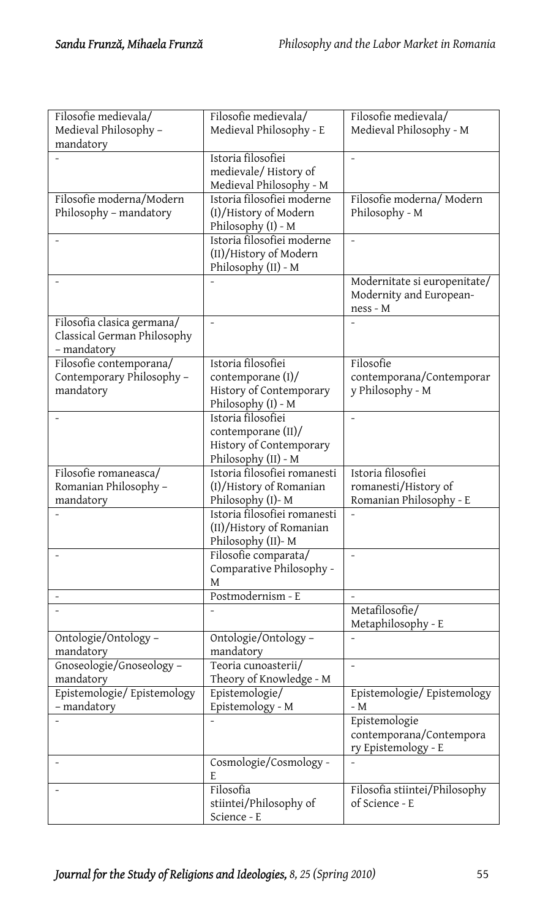| Filosofie medievala/        | Filosofie medievala/                  | Filosofie medievala/          |
|-----------------------------|---------------------------------------|-------------------------------|
| Medieval Philosophy -       | Medieval Philosophy - E               | Medieval Philosophy - M       |
| mandatory                   |                                       |                               |
|                             | Istoria filosofiei                    | $\overline{\phantom{0}}$      |
|                             | medievale/History of                  |                               |
|                             | Medieval Philosophy - M               |                               |
| Filosofie moderna/Modern    | Istoria filosofiei moderne            | Filosofie moderna/Modern      |
| Philosophy - mandatory      | (I)/History of Modern                 | Philosophy - M                |
|                             | Philosophy (I) - M                    |                               |
|                             | Istoria filosofiei moderne            |                               |
|                             | (II)/History of Modern                |                               |
|                             | Philosophy (II) - M                   |                               |
| $\overline{a}$              |                                       | Modernitate si europenitate/  |
|                             |                                       | Modernity and European-       |
|                             |                                       | ness - M                      |
| Filosofia clasica germana/  | $\overline{a}$                        |                               |
| Classical German Philosophy |                                       |                               |
| - mandatory                 |                                       |                               |
| Filosofie contemporana/     | Istoria filosofiei                    | Filosofie                     |
| Contemporary Philosophy -   | contemporane $(I)$ /                  | contemporana/Contemporar      |
| mandatory                   | History of Contemporary               | y Philosophy - M              |
|                             | Philosophy (I) - M                    |                               |
|                             | Istoria filosofiei                    |                               |
|                             | contemporane (II)/                    |                               |
|                             | History of Contemporary               |                               |
|                             | Philosophy (II) - M                   |                               |
|                             | Istoria filosofiei romanesti          | Istoria filosofiei            |
| Filosofie romaneasca/       |                                       |                               |
| Romanian Philosophy -       | (I)/History of Romanian               | romanesti/History of          |
| mandatory                   | Philosophy (I)-M                      | Romanian Philosophy - E       |
|                             | Istoria filosofiei romanesti          |                               |
|                             | (II)/History of Romanian              |                               |
|                             | Philosophy (II)-M                     |                               |
|                             | Filosofie comparata/                  | $\overline{\phantom{0}}$      |
|                             | Comparative Philosophy -              |                               |
|                             | M                                     |                               |
| $\overline{\phantom{0}}$    | Postmodernism - E                     | $\overline{a}$                |
|                             |                                       | Metafilosofie/                |
|                             |                                       | Metaphilosophy - E            |
| Ontologie/Ontology-         | Ontologie/Ontology-                   |                               |
| mandatory                   | mandatory                             |                               |
| Gnoseologie/Gnoseology-     | Teoria cunoasterii/                   | $\overline{a}$                |
| mandatory                   | Theory of Knowledge - M               |                               |
| Epistemologie/ Epistemology | Epistemologie/                        | Epistemologie/ Epistemology   |
| - mandatory                 | Epistemology - M                      | - M                           |
|                             |                                       | Epistemologie                 |
|                             |                                       | contemporana/Contempora       |
|                             |                                       | ry Epistemology - E           |
|                             | Cosmologie/Cosmology -                |                               |
|                             | E                                     |                               |
| ۰                           | Filosofia                             | Filosofia stiintei/Philosophy |
|                             | stiintei/Philosophy of<br>Science - E | of Science - E                |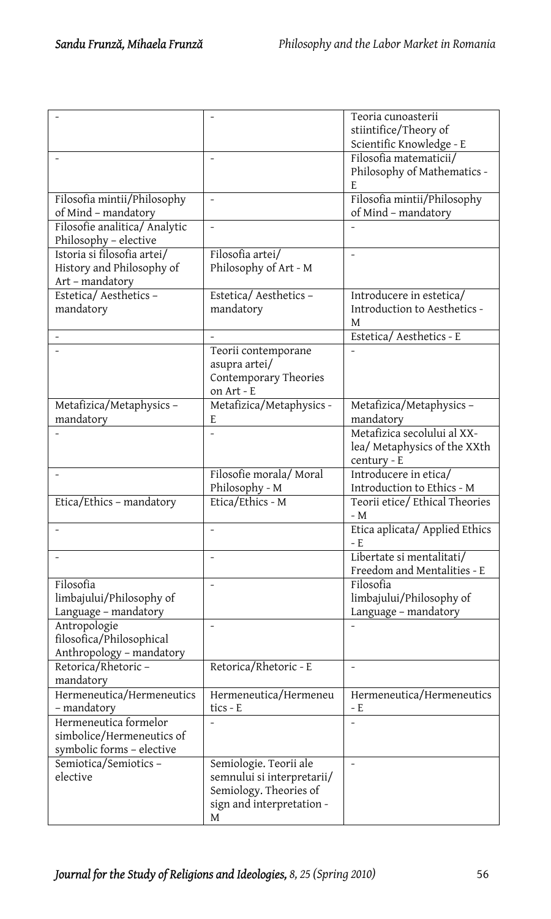|                               |                            | Teoria cunoasterii             |
|-------------------------------|----------------------------|--------------------------------|
|                               |                            | stiintifice/Theory of          |
|                               |                            | Scientific Knowledge - E       |
|                               |                            | Filosofia matematicii/         |
|                               |                            | Philosophy of Mathematics -    |
|                               |                            | E                              |
| Filosofia mintii/Philosophy   | $\frac{1}{2}$              | Filosofia mintii/Philosophy    |
| of Mind - mandatory           |                            | of Mind - mandatory            |
| Filosofie analitica/ Analytic |                            |                                |
| Philosophy - elective         |                            |                                |
| Istoria si filosofia artei/   | Filosofia artei/           |                                |
| History and Philosophy of     | Philosophy of Art - M      |                                |
| Art - mandatory               |                            |                                |
| Estetica/Aesthetics-          | Estetica/Aesthetics-       | Introducere in estetica/       |
| mandatory                     | mandatory                  | Introduction to Aesthetics -   |
|                               |                            | M                              |
|                               |                            | Estetica/Aesthetics - E        |
|                               | Teorii contemporane        |                                |
|                               | asupra artei/              |                                |
|                               | Contemporary Theories      |                                |
|                               | on Art - E                 |                                |
| Metafizica/Metaphysics-       | Metafizica/Metaphysics -   | Metafizica/Metaphysics-        |
| mandatory                     | E                          | mandatory                      |
|                               |                            | Metafizica secolului al XX-    |
|                               |                            | lea/ Metaphysics of the XXth   |
|                               |                            | century - E                    |
| L.                            | Filosofie morala/Moral     | Introducere in etica/          |
|                               | Philosophy - M             | Introduction to Ethics - M     |
| Etica/Ethics - mandatory      | Etica/Ethics - M           | Teorii etice/Ethical Theories  |
|                               |                            | - M                            |
|                               | $\overline{a}$             | Etica aplicata/ Applied Ethics |
|                               |                            | – E                            |
|                               | $\overline{a}$             | Libertate si mentalitati/      |
|                               |                            | Freedom and Mentalities - E    |
| Filosofia                     |                            | Filosofia                      |
| limbajului/Philosophy of      |                            | limbajului/Philosophy of       |
| Language - mandatory          |                            | Language - mandatory           |
| Antropologie                  | $\overline{a}$             |                                |
| filosofica/Philosophical      |                            |                                |
| Anthropology - mandatory      |                            |                                |
| Retorica/Rhetoric-            | Retorica/Rhetoric - E      | $\overline{a}$                 |
| mandatory                     |                            |                                |
| Hermeneutica/Hermeneutics     | Hermeneutica/Hermeneu      | Hermeneutica/Hermeneutics      |
| - mandatory                   | tics - E                   | - E                            |
| Hermeneutica formelor         |                            | $\overline{a}$                 |
| simbolice/Hermeneutics of     |                            |                                |
| symbolic forms - elective     |                            |                                |
| Semiotica/Semiotics-          | Semiologie. Teorii ale     | $\overline{\phantom{a}}$       |
| elective                      | semnului si interpretarii/ |                                |
|                               | Semiology. Theories of     |                                |
|                               | sign and interpretation -  |                                |
|                               | М                          |                                |
|                               |                            |                                |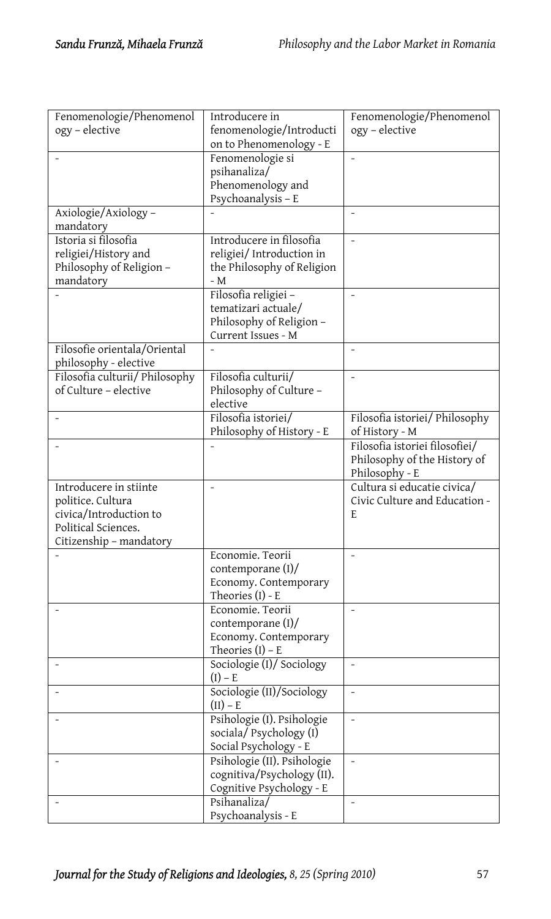| Fenomenologie/Phenomenol       | Introducere in                          | Fenomenologie/Phenomenol       |
|--------------------------------|-----------------------------------------|--------------------------------|
| ogy - elective                 | fenomenologie/Introducti                | ogy - elective                 |
|                                | on to Phenomenology - E                 |                                |
|                                | Fenomenologie si                        | $\overline{a}$                 |
|                                | psihanaliza/                            |                                |
|                                | Phenomenology and                       |                                |
|                                | Psychoanalysis - E                      |                                |
| Axiologie/Axiology-            |                                         | $\frac{1}{2}$                  |
| mandatory                      |                                         |                                |
| Istoria si filosofia           | Introducere in filosofia                | $\frac{1}{2}$                  |
| religiei/History and           | religiei/ Introduction in               |                                |
| Philosophy of Religion -       | the Philosophy of Religion              |                                |
| mandatory                      | - $M$                                   |                                |
|                                | Filosofia religiei-                     | $\overline{a}$                 |
|                                | tematizari actuale/                     |                                |
|                                | Philosophy of Religion -                |                                |
|                                | Current Issues - M                      |                                |
| Filosofie orientala/Oriental   |                                         | $\overline{a}$                 |
| philosophy - elective          |                                         |                                |
| Filosofia culturii/ Philosophy | Filosofia culturii/                     | $\overline{a}$                 |
| of Culture - elective          | Philosophy of Culture -                 |                                |
|                                | elective                                |                                |
|                                | Filosofia istoriei/                     | Filosofia istoriei/ Philosophy |
|                                | Philosophy of History - E               | of History - M                 |
|                                |                                         | Filosofia istoriei filosofiei/ |
|                                |                                         | Philosophy of the History of   |
|                                |                                         | Philosophy - E                 |
| Introducere in stiinte         |                                         | Cultura si educatie civica/    |
| politice. Cultura              |                                         | Civic Culture and Education -  |
| civica/Introduction to         |                                         | E                              |
| Political Sciences.            |                                         |                                |
| Citizenship - mandatory        |                                         |                                |
|                                | Economie. Teorii                        |                                |
|                                | contemporane (I)/                       |                                |
|                                | Economy. Contemporary                   |                                |
|                                | Theories (I) - E                        |                                |
|                                | Economie. Teorii                        | $\overline{a}$                 |
|                                | contemporane (I)/                       |                                |
|                                | Economy. Contemporary                   |                                |
|                                | Theories $(I)$ – E                      |                                |
|                                | Sociologie (I)/ Sociology               | $\overline{a}$                 |
|                                | $(I) - E$                               |                                |
|                                | Sociologie (II)/Sociology<br>$(II) - E$ | $\overline{\phantom{0}}$       |
|                                | Psihologie (I). Psihologie              | $\overline{\phantom{0}}$       |
|                                | sociala/ Psychology (I)                 |                                |
|                                | Social Psychology - E                   |                                |
|                                | Psihologie (II). Psihologie             | $\overline{\phantom{a}}$       |
|                                | cognitiva/Psychology (II).              |                                |
|                                | Cognitive Psychology - E                |                                |
|                                | Psihanaliza/                            | $\overline{\phantom{a}}$       |
|                                | Psychoanalysis - E                      |                                |
|                                |                                         |                                |